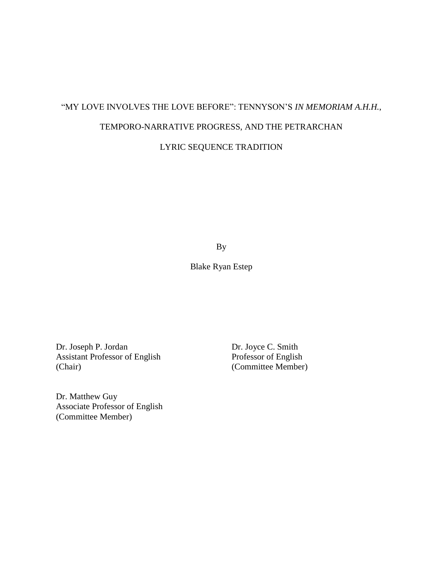# "MY LOVE INVOLVES THE LOVE BEFORE": TENNYSON'S *IN MEMORIAM A.H.H.*, TEMPORO-NARRATIVE PROGRESS, AND THE PETRARCHAN

LYRIC SEQUENCE TRADITION

By

Blake Ryan Estep

Dr. Joseph P. Jordan Dr. Joyce C. Smith<br>Assistant Professor of English Professor of English Assistant Professor of English (Chair) (Committee Member)

Dr. Matthew Guy Associate Professor of English (Committee Member)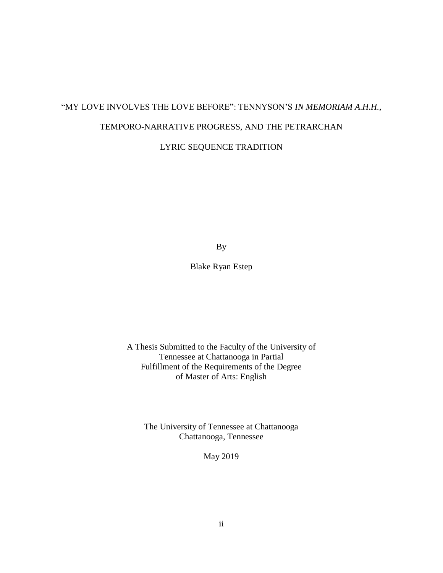# "MY LOVE INVOLVES THE LOVE BEFORE": TENNYSON'S *IN MEMORIAM A.H.H.*, TEMPORO-NARRATIVE PROGRESS, AND THE PETRARCHAN

LYRIC SEQUENCE TRADITION

By

Blake Ryan Estep

A Thesis Submitted to the Faculty of the University of Tennessee at Chattanooga in Partial Fulfillment of the Requirements of the Degree of Master of Arts: English

The University of Tennessee at Chattanooga Chattanooga, Tennessee

May 2019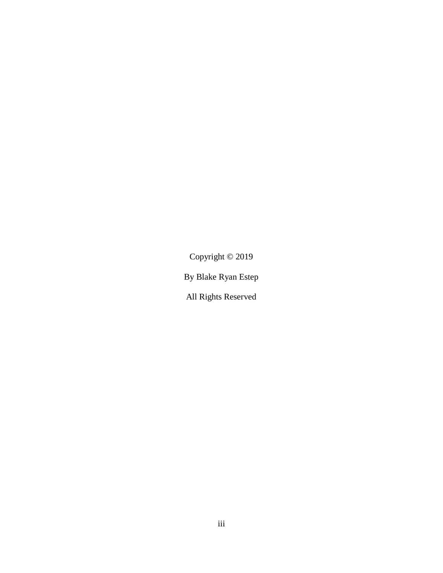Copyright © 2019

By Blake Ryan Estep

All Rights Reserved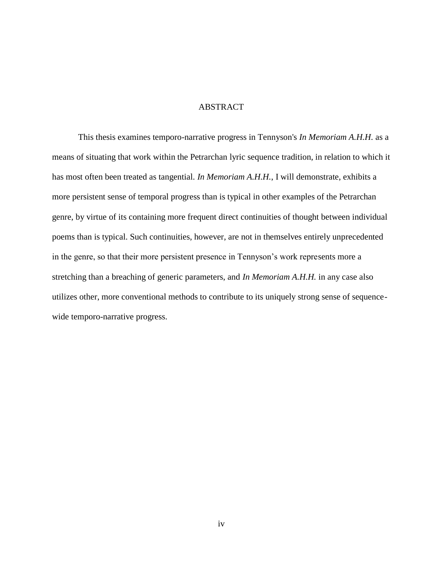#### ABSTRACT

<span id="page-3-0"></span>This thesis examines temporo-narrative progress in Tennyson's *In Memoriam A.H.H.* as a means of situating that work within the Petrarchan lyric sequence tradition, in relation to which it has most often been treated as tangential. *In Memoriam A.H.H.*, I will demonstrate, exhibits a more persistent sense of temporal progress than is typical in other examples of the Petrarchan genre, by virtue of its containing more frequent direct continuities of thought between individual poems than is typical. Such continuities, however, are not in themselves entirely unprecedented in the genre, so that their more persistent presence in Tennyson's work represents more a stretching than a breaching of generic parameters, and *In Memoriam A.H.H.* in any case also utilizes other, more conventional methods to contribute to its uniquely strong sense of sequencewide temporo-narrative progress.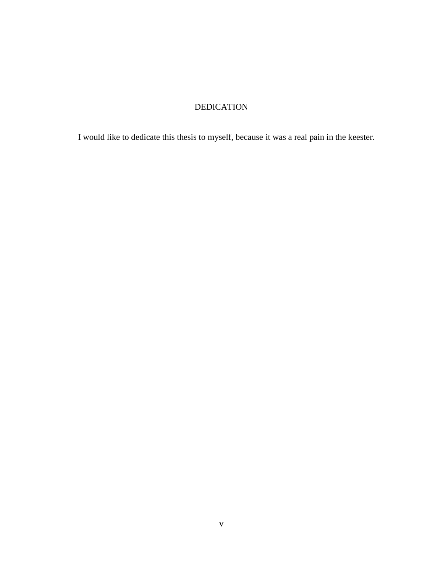# DEDICATION

<span id="page-4-0"></span>I would like to dedicate this thesis to myself, because it was a real pain in the keester.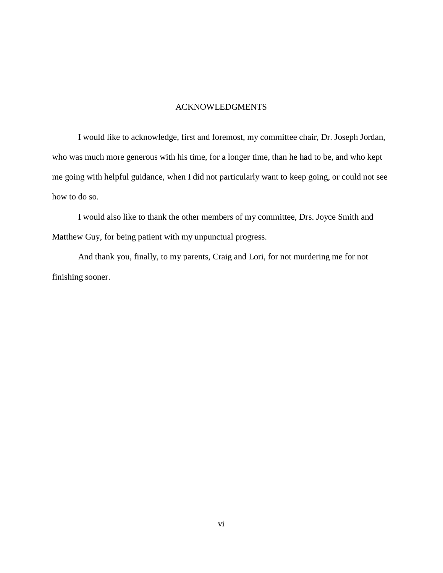## ACKNOWLEDGMENTS

<span id="page-5-0"></span>I would like to acknowledge, first and foremost, my committee chair, Dr. Joseph Jordan, who was much more generous with his time, for a longer time, than he had to be, and who kept me going with helpful guidance, when I did not particularly want to keep going, or could not see how to do so.

I would also like to thank the other members of my committee, Drs. Joyce Smith and Matthew Guy, for being patient with my unpunctual progress.

And thank you, finally, to my parents, Craig and Lori, for not murdering me for not finishing sooner.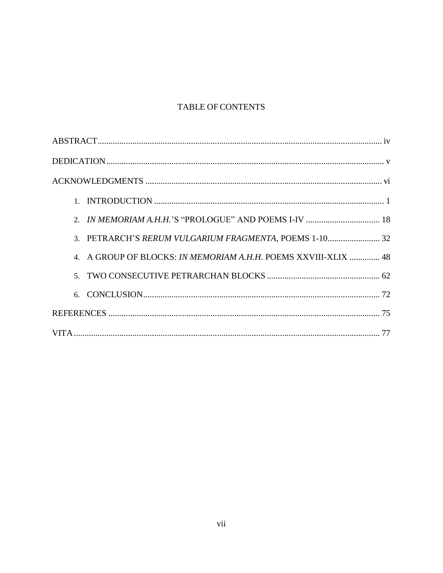# TABLE OF CONTENTS

| 3. PETRARCH'S RERUM VULGARIUM FRAGMENTA, POEMS 1-10 32         |
|----------------------------------------------------------------|
| 4. A GROUP OF BLOCKS: IN MEMORIAM A.H.H. POEMS XXVIII-XLIX  48 |
|                                                                |
| 6.                                                             |
|                                                                |
|                                                                |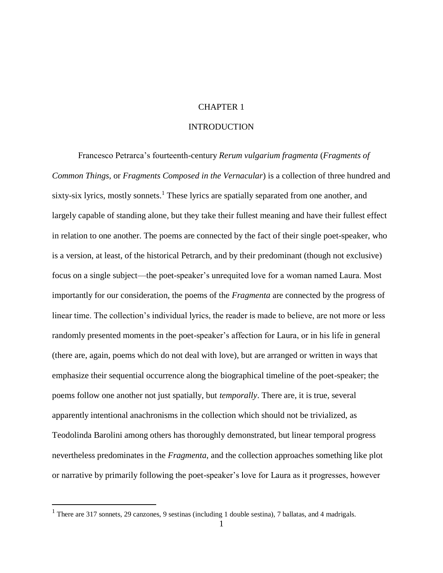### CHAPTER 1

## **INTRODUCTION**

<span id="page-7-0"></span>Francesco Petrarca's fourteenth-century *Rerum vulgarium fragmenta* (*Fragments of Common Things*, or *Fragments Composed in the Vernacular*) is a collection of three hundred and sixty-six lyrics, mostly sonnets.<sup>1</sup> These lyrics are spatially separated from one another, and largely capable of standing alone, but they take their fullest meaning and have their fullest effect in relation to one another. The poems are connected by the fact of their single poet-speaker, who is a version, at least, of the historical Petrarch, and by their predominant (though not exclusive) focus on a single subject—the poet-speaker's unrequited love for a woman named Laura. Most importantly for our consideration, the poems of the *Fragmenta* are connected by the progress of linear time. The collection's individual lyrics, the reader is made to believe, are not more or less randomly presented moments in the poet-speaker's affection for Laura, or in his life in general (there are, again, poems which do not deal with love), but are arranged or written in ways that emphasize their sequential occurrence along the biographical timeline of the poet-speaker; the poems follow one another not just spatially, but *temporally*. There are, it is true, several apparently intentional anachronisms in the collection which should not be trivialized, as Teodolinda Barolini among others has thoroughly demonstrated, but linear temporal progress nevertheless predominates in the *Fragmenta*, and the collection approaches something like plot or narrative by primarily following the poet-speaker's love for Laura as it progresses, however

<sup>&</sup>lt;sup>1</sup> There are 317 sonnets, 29 canzones, 9 sestinas (including 1 double sestina), 7 ballatas, and 4 madrigals.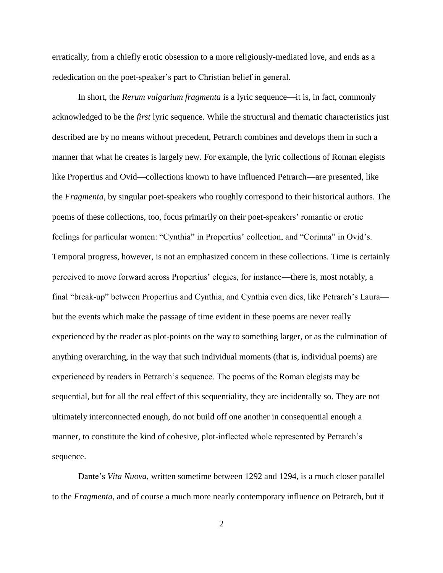erratically, from a chiefly erotic obsession to a more religiously-mediated love, and ends as a rededication on the poet-speaker's part to Christian belief in general.

In short, the *Rerum vulgarium fragmenta* is a lyric sequence—it is, in fact, commonly acknowledged to be the *first* lyric sequence. While the structural and thematic characteristics just described are by no means without precedent, Petrarch combines and develops them in such a manner that what he creates is largely new. For example, the lyric collections of Roman elegists like Propertius and Ovid—collections known to have influenced Petrarch—are presented, like the *Fragmenta*, by singular poet-speakers who roughly correspond to their historical authors. The poems of these collections, too, focus primarily on their poet-speakers' romantic or erotic feelings for particular women: "Cynthia" in Propertius' collection, and "Corinna" in Ovid's. Temporal progress, however, is not an emphasized concern in these collections. Time is certainly perceived to move forward across Propertius' elegies, for instance—there is, most notably, a final "break-up" between Propertius and Cynthia, and Cynthia even dies, like Petrarch's Laura but the events which make the passage of time evident in these poems are never really experienced by the reader as plot-points on the way to something larger, or as the culmination of anything overarching, in the way that such individual moments (that is, individual poems) are experienced by readers in Petrarch's sequence. The poems of the Roman elegists may be sequential, but for all the real effect of this sequentiality, they are incidentally so. They are not ultimately interconnected enough, do not build off one another in consequential enough a manner, to constitute the kind of cohesive, plot-inflected whole represented by Petrarch's sequence.

Dante's *Vita Nuova*, written sometime between 1292 and 1294, is a much closer parallel to the *Fragmenta*, and of course a much more nearly contemporary influence on Petrarch, but it

2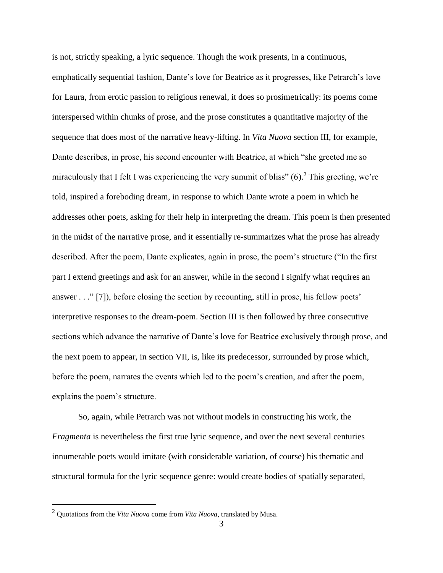is not, strictly speaking, a lyric sequence. Though the work presents, in a continuous, emphatically sequential fashion, Dante's love for Beatrice as it progresses, like Petrarch's love for Laura, from erotic passion to religious renewal, it does so prosimetrically: its poems come interspersed within chunks of prose, and the prose constitutes a quantitative majority of the sequence that does most of the narrative heavy-lifting. In *Vita Nuova* section III, for example, Dante describes, in prose, his second encounter with Beatrice, at which "she greeted me so miraculously that I felt I was experiencing the very summit of bliss"  $(6)$ . This greeting, we're told, inspired a foreboding dream, in response to which Dante wrote a poem in which he addresses other poets, asking for their help in interpreting the dream. This poem is then presented in the midst of the narrative prose, and it essentially re-summarizes what the prose has already described. After the poem, Dante explicates, again in prose, the poem's structure ("In the first part I extend greetings and ask for an answer, while in the second I signify what requires an answer . . ." [7]), before closing the section by recounting, still in prose, his fellow poets' interpretive responses to the dream-poem. Section III is then followed by three consecutive sections which advance the narrative of Dante's love for Beatrice exclusively through prose, and the next poem to appear, in section VII, is, like its predecessor, surrounded by prose which, before the poem, narrates the events which led to the poem's creation, and after the poem, explains the poem's structure.

So, again, while Petrarch was not without models in constructing his work, the *Fragmenta* is nevertheless the first true lyric sequence, and over the next several centuries innumerable poets would imitate (with considerable variation, of course) his thematic and structural formula for the lyric sequence genre: would create bodies of spatially separated,

<sup>2</sup> Quotations from the *Vita Nuova* come from *Vita Nuova*, translated by Musa.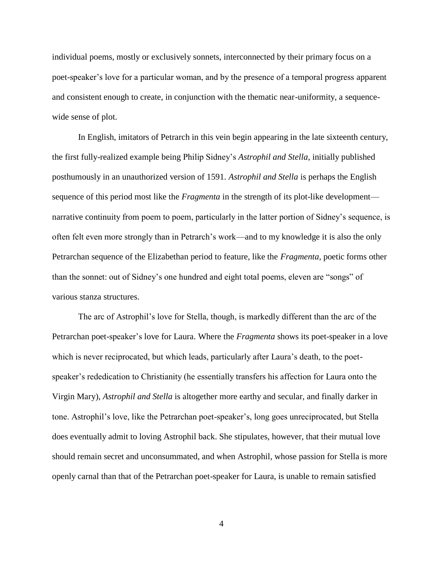individual poems, mostly or exclusively sonnets, interconnected by their primary focus on a poet-speaker's love for a particular woman, and by the presence of a temporal progress apparent and consistent enough to create, in conjunction with the thematic near-uniformity, a sequencewide sense of plot.

In English, imitators of Petrarch in this vein begin appearing in the late sixteenth century, the first fully-realized example being Philip Sidney's *Astrophil and Stella*, initially published posthumously in an unauthorized version of 1591. *Astrophil and Stella* is perhaps the English sequence of this period most like the *Fragmenta* in the strength of its plot-like development narrative continuity from poem to poem, particularly in the latter portion of Sidney's sequence, is often felt even more strongly than in Petrarch's work—and to my knowledge it is also the only Petrarchan sequence of the Elizabethan period to feature, like the *Fragmenta*, poetic forms other than the sonnet: out of Sidney's one hundred and eight total poems, eleven are "songs" of various stanza structures.

The arc of Astrophil's love for Stella, though, is markedly different than the arc of the Petrarchan poet-speaker's love for Laura. Where the *Fragmenta* shows its poet-speaker in a love which is never reciprocated, but which leads, particularly after Laura's death, to the poetspeaker's rededication to Christianity (he essentially transfers his affection for Laura onto the Virgin Mary), *Astrophil and Stella* is altogether more earthy and secular, and finally darker in tone. Astrophil's love, like the Petrarchan poet-speaker's, long goes unreciprocated, but Stella does eventually admit to loving Astrophil back. She stipulates, however, that their mutual love should remain secret and unconsummated, and when Astrophil, whose passion for Stella is more openly carnal than that of the Petrarchan poet-speaker for Laura, is unable to remain satisfied

4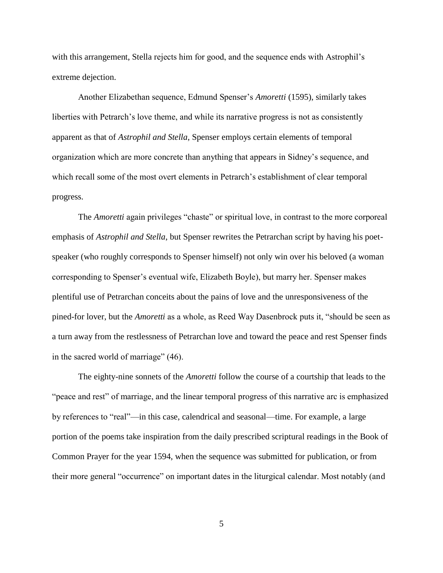with this arrangement, Stella rejects him for good, and the sequence ends with Astrophil's extreme dejection.

Another Elizabethan sequence, Edmund Spenser's *Amoretti* (1595), similarly takes liberties with Petrarch's love theme, and while its narrative progress is not as consistently apparent as that of *Astrophil and Stella*, Spenser employs certain elements of temporal organization which are more concrete than anything that appears in Sidney's sequence, and which recall some of the most overt elements in Petrarch's establishment of clear temporal progress.

The *Amoretti* again privileges "chaste" or spiritual love, in contrast to the more corporeal emphasis of *Astrophil and Stella*, but Spenser rewrites the Petrarchan script by having his poetspeaker (who roughly corresponds to Spenser himself) not only win over his beloved (a woman corresponding to Spenser's eventual wife, Elizabeth Boyle), but marry her. Spenser makes plentiful use of Petrarchan conceits about the pains of love and the unresponsiveness of the pined-for lover, but the *Amoretti* as a whole, as Reed Way Dasenbrock puts it, "should be seen as a turn away from the restlessness of Petrarchan love and toward the peace and rest Spenser finds in the sacred world of marriage" (46).

The eighty-nine sonnets of the *Amoretti* follow the course of a courtship that leads to the "peace and rest" of marriage, and the linear temporal progress of this narrative arc is emphasized by references to "real"—in this case, calendrical and seasonal—time. For example, a large portion of the poems take inspiration from the daily prescribed scriptural readings in the Book of Common Prayer for the year 1594, when the sequence was submitted for publication, or from their more general "occurrence" on important dates in the liturgical calendar. Most notably (and

5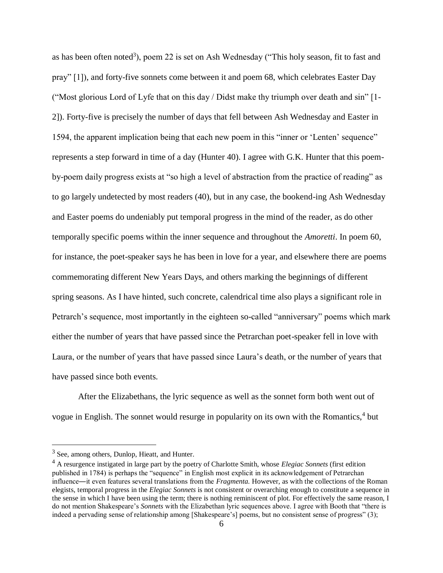as has been often noted<sup>3</sup>), poem 22 is set on Ash Wednesday ("This holy season, fit to fast and pray" [1]), and forty-five sonnets come between it and poem 68, which celebrates Easter Day ("Most glorious Lord of Lyfe that on this day / Didst make thy triumph over death and sin" [1- 2]). Forty-five is precisely the number of days that fell between Ash Wednesday and Easter in 1594, the apparent implication being that each new poem in this "inner or 'Lenten' sequence" represents a step forward in time of a day (Hunter 40). I agree with G.K. Hunter that this poemby-poem daily progress exists at "so high a level of abstraction from the practice of reading" as to go largely undetected by most readers (40), but in any case, the bookend-ing Ash Wednesday and Easter poems do undeniably put temporal progress in the mind of the reader, as do other temporally specific poems within the inner sequence and throughout the *Amoretti*. In poem 60, for instance, the poet-speaker says he has been in love for a year, and elsewhere there are poems commemorating different New Years Days, and others marking the beginnings of different spring seasons. As I have hinted, such concrete, calendrical time also plays a significant role in Petrarch's sequence, most importantly in the eighteen so-called "anniversary" poems which mark either the number of years that have passed since the Petrarchan poet-speaker fell in love with Laura, or the number of years that have passed since Laura's death, or the number of years that have passed since both events.

After the Elizabethans, the lyric sequence as well as the sonnet form both went out of vogue in English. The sonnet would resurge in popularity on its own with the Romantics,<sup>4</sup> but

 $3$  See, among others, Dunlop, Hieatt, and Hunter.

<sup>4</sup> A resurgence instigated in large part by the poetry of Charlotte Smith, whose *Elegiac Sonnets* (first edition published in 1784) is perhaps the "sequence" in English most explicit in its acknowledgement of Petrarchan influence―it even features several translations from the *Fragmenta.* However, as with the collections of the Roman elegists, temporal progress in the *Elegiac Sonnets* is not consistent or overarching enough to constitute a sequence in the sense in which I have been using the term; there is nothing reminiscent of plot. For effectively the same reason, I do not mention Shakespeare's *Sonnets* with the Elizabethan lyric sequences above. I agree with Booth that "there is indeed a pervading sense of relationship among [Shakespeare's] poems, but no consistent sense of progress" (3);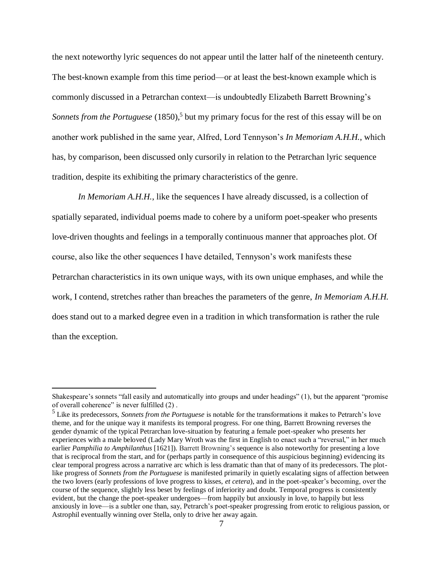the next noteworthy lyric sequences do not appear until the latter half of the nineteenth century. The best-known example from this time period—or at least the best-known example which is commonly discussed in a Petrarchan context—is undoubtedly Elizabeth Barrett Browning's Sonnets from the Portuguese (1850),<sup>5</sup> but my primary focus for the rest of this essay will be on another work published in the same year, Alfred, Lord Tennyson's *In Memoriam A.H.H.*, which has, by comparison, been discussed only cursorily in relation to the Petrarchan lyric sequence tradition, despite its exhibiting the primary characteristics of the genre.

*In Memoriam A.H.H.*, like the sequences I have already discussed, is a collection of spatially separated, individual poems made to cohere by a uniform poet-speaker who presents love-driven thoughts and feelings in a temporally continuous manner that approaches plot. Of course, also like the other sequences I have detailed, Tennyson's work manifests these Petrarchan characteristics in its own unique ways, with its own unique emphases, and while the work, I contend, stretches rather than breaches the parameters of the genre, *In Memoriam A.H.H.* does stand out to a marked degree even in a tradition in which transformation is rather the rule than the exception.

Shakespeare's sonnets "fall easily and automatically into groups and under headings" (1), but the apparent "promise of overall coherence" is never fulfilled (2) .

<sup>5</sup> Like its predecessors, *Sonnets from the Portuguese* is notable for the transformations it makes to Petrarch's love theme, and for the unique way it manifests its temporal progress. For one thing, Barrett Browning reverses the gender dynamic of the typical Petrarchan love-situation by featuring a female poet-speaker who presents her experiences with a male beloved (Lady Mary Wroth was the first in English to enact such a "reversal," in her much earlier *Pamphilia to Amphilanthus* [1621]). Barrett Browning's sequence is also noteworthy for presenting a love that is reciprocal from the start, and for (perhaps partly in consequence of this auspicious beginning) evidencing its clear temporal progress across a narrative arc which is less dramatic than that of many of its predecessors. The plotlike progress of *Sonnets from the Portuguese* is manifested primarily in quietly escalating signs of affection between the two lovers (early professions of love progress to kisses, *et cetera*), and in the poet-speaker's becoming, over the course of the sequence, slightly less beset by feelings of inferiority and doubt. Temporal progress is consistently evident, but the change the poet-speaker undergoes—from happily but anxiously in love, to happily but less anxiously in love—is a subtler one than, say, Petrarch's poet-speaker progressing from erotic to religious passion, or Astrophil eventually winning over Stella, only to drive her away again.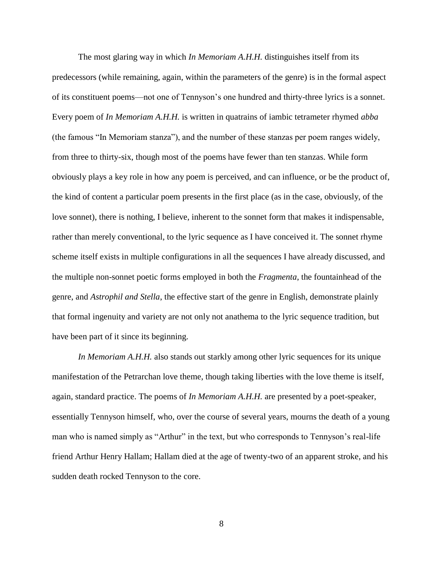The most glaring way in which *In Memoriam A.H.H.* distinguishes itself from its predecessors (while remaining, again, within the parameters of the genre) is in the formal aspect of its constituent poems—not one of Tennyson's one hundred and thirty-three lyrics is a sonnet. Every poem of *In Memoriam A.H.H.* is written in quatrains of iambic tetrameter rhymed *abba* (the famous "In Memoriam stanza"), and the number of these stanzas per poem ranges widely, from three to thirty-six, though most of the poems have fewer than ten stanzas. While form obviously plays a key role in how any poem is perceived, and can influence, or be the product of, the kind of content a particular poem presents in the first place (as in the case, obviously, of the love sonnet), there is nothing, I believe, inherent to the sonnet form that makes it indispensable, rather than merely conventional, to the lyric sequence as I have conceived it. The sonnet rhyme scheme itself exists in multiple configurations in all the sequences I have already discussed, and the multiple non-sonnet poetic forms employed in both the *Fragmenta*, the fountainhead of the genre, and *Astrophil and Stella*, the effective start of the genre in English, demonstrate plainly that formal ingenuity and variety are not only not anathema to the lyric sequence tradition, but have been part of it since its beginning.

*In Memoriam A.H.H.* also stands out starkly among other lyric sequences for its unique manifestation of the Petrarchan love theme, though taking liberties with the love theme is itself, again, standard practice. The poems of *In Memoriam A.H.H.* are presented by a poet-speaker, essentially Tennyson himself, who, over the course of several years, mourns the death of a young man who is named simply as "Arthur" in the text, but who corresponds to Tennyson's real-life friend Arthur Henry Hallam; Hallam died at the age of twenty-two of an apparent stroke, and his sudden death rocked Tennyson to the core.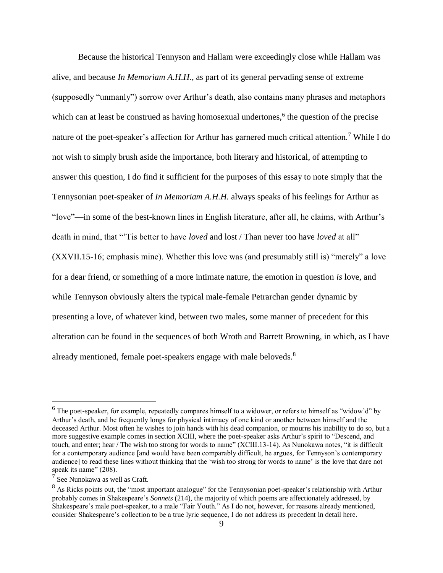Because the historical Tennyson and Hallam were exceedingly close while Hallam was alive, and because *In Memoriam A.H.H.*, as part of its general pervading sense of extreme (supposedly "unmanly") sorrow over Arthur's death, also contains many phrases and metaphors which can at least be construed as having homosexual undertones, $<sup>6</sup>$  the question of the precise</sup> nature of the poet-speaker's affection for Arthur has garnered much critical attention.<sup>7</sup> While I do not wish to simply brush aside the importance, both literary and historical, of attempting to answer this question, I do find it sufficient for the purposes of this essay to note simply that the Tennysonian poet-speaker of *In Memoriam A.H.H.* always speaks of his feelings for Arthur as "love"—in some of the best-known lines in English literature, after all, he claims, with Arthur's death in mind, that "'Tis better to have *loved* and lost / Than never too have *loved* at all" (XXVII.15-16; emphasis mine). Whether this love was (and presumably still is) "merely" a love for a dear friend, or something of a more intimate nature, the emotion in question *is* love*,* and while Tennyson obviously alters the typical male-female Petrarchan gender dynamic by presenting a love, of whatever kind, between two males, some manner of precedent for this alteration can be found in the sequences of both Wroth and Barrett Browning, in which, as I have already mentioned, female poet-speakers engage with male beloveds.<sup>8</sup>

 $^6$  The poet-speaker, for example, repeatedly compares himself to a widower, or refers to himself as "widow'd" by Arthur's death, and he frequently longs for physical intimacy of one kind or another between himself and the deceased Arthur. Most often he wishes to join hands with his dead companion, or mourns his inability to do so, but a more suggestive example comes in section XCIII, where the poet-speaker asks Arthur's spirit to "Descend, and touch, and enter; hear / The wish too strong for words to name" (XCIII.13-14). As Nunokawa notes, "it is difficult for a contemporary audience [and would have been comparably difficult, he argues, for Tennyson's contemporary audience] to read these lines without thinking that the 'wish too strong for words to name' is the love that dare not speak its name" (208).

<sup>7</sup> See Nunokawa as well as Craft.

<sup>&</sup>lt;sup>8</sup> As Ricks points out, the "most important analogue" for the Tennysonian poet-speaker's relationship with Arthur probably comes in Shakespeare's *Sonnets* (214), the majority of which poems are affectionately addressed, by Shakespeare's male poet-speaker, to a male "Fair Youth." As I do not, however, for reasons already mentioned, consider Shakespeare's collection to be a true lyric sequence, I do not address its precedent in detail here.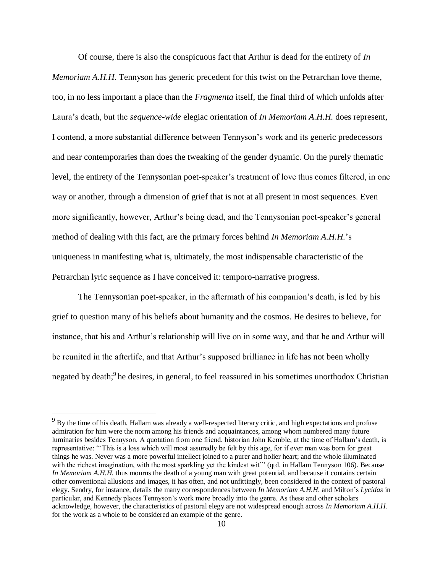Of course, there is also the conspicuous fact that Arthur is dead for the entirety of *In Memoriam A.H.H*. Tennyson has generic precedent for this twist on the Petrarchan love theme, too, in no less important a place than the *Fragmenta* itself, the final third of which unfolds after Laura's death, but the *sequence-wide* elegiac orientation of *In Memoriam A.H.H.* does represent, I contend, a more substantial difference between Tennyson's work and its generic predecessors and near contemporaries than does the tweaking of the gender dynamic. On the purely thematic level, the entirety of the Tennysonian poet-speaker's treatment of love thus comes filtered, in one way or another, through a dimension of grief that is not at all present in most sequences. Even more significantly, however, Arthur's being dead, and the Tennysonian poet-speaker's general method of dealing with this fact, are the primary forces behind *In Memoriam A.H.H.*'s uniqueness in manifesting what is, ultimately, the most indispensable characteristic of the Petrarchan lyric sequence as I have conceived it: temporo-narrative progress.

The Tennysonian poet-speaker, in the aftermath of his companion's death, is led by his grief to question many of his beliefs about humanity and the cosmos. He desires to believe, for instance, that his and Arthur's relationship will live on in some way, and that he and Arthur will be reunited in the afterlife, and that Arthur's supposed brilliance in life has not been wholly negated by death;<sup>9</sup> he desires, in general, to feel reassured in his sometimes unorthodox Christian

<sup>&</sup>lt;sup>9</sup> By the time of his death, Hallam was already a well-respected literary critic, and high expectations and profuse admiration for him were the norm among his friends and acquaintances, among whom numbered many future luminaries besides Tennyson. A quotation from one friend, historian John Kemble, at the time of Hallam's death, is representative: "'This is a loss which will most assuredly be felt by this age, for if ever man was born for great things he was. Never was a more powerful intellect joined to a purer and holier heart; and the whole illuminated with the richest imagination, with the most sparkling yet the kindest wit" (qtd. in Hallam Tennyson 106). Because *In Memoriam A.H.H.* thus mourns the death of a young man with great potential, and because it contains certain other conventional allusions and images, it has often, and not unfittingly, been considered in the context of pastoral elegy. Sendry, for instance, details the many correspondences between *In Memoriam A.H.H.* and Milton's *Lycidas* in particular, and Kennedy places Tennyson's work more broadly into the genre. As these and other scholars acknowledge, however, the characteristics of pastoral elegy are not widespread enough across *In Memoriam A.H.H.* for the work as a whole to be considered an example of the genre.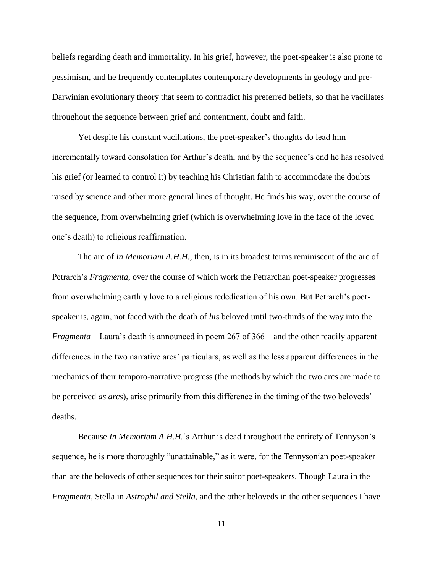beliefs regarding death and immortality. In his grief, however, the poet-speaker is also prone to pessimism, and he frequently contemplates contemporary developments in geology and pre-Darwinian evolutionary theory that seem to contradict his preferred beliefs, so that he vacillates throughout the sequence between grief and contentment, doubt and faith.

Yet despite his constant vacillations, the poet-speaker's thoughts do lead him incrementally toward consolation for Arthur's death, and by the sequence's end he has resolved his grief (or learned to control it) by teaching his Christian faith to accommodate the doubts raised by science and other more general lines of thought. He finds his way, over the course of the sequence, from overwhelming grief (which is overwhelming love in the face of the loved one's death) to religious reaffirmation.

The arc of *In Memoriam A.H.H.*, then, is in its broadest terms reminiscent of the arc of Petrarch's *Fragmenta*, over the course of which work the Petrarchan poet-speaker progresses from overwhelming earthly love to a religious rededication of his own. But Petrarch's poetspeaker is, again, not faced with the death of *his* beloved until two-thirds of the way into the *Fragmenta*—Laura's death is announced in poem 267 of 366—and the other readily apparent differences in the two narrative arcs' particulars, as well as the less apparent differences in the mechanics of their temporo-narrative progress (the methods by which the two arcs are made to be perceived *as arcs*), arise primarily from this difference in the timing of the two beloveds' deaths.

Because *In Memoriam A.H.H.*'s Arthur is dead throughout the entirety of Tennyson's sequence, he is more thoroughly "unattainable," as it were, for the Tennysonian poet-speaker than are the beloveds of other sequences for their suitor poet-speakers. Though Laura in the *Fragmenta*, Stella in *Astrophil and Stella*, and the other beloveds in the other sequences I have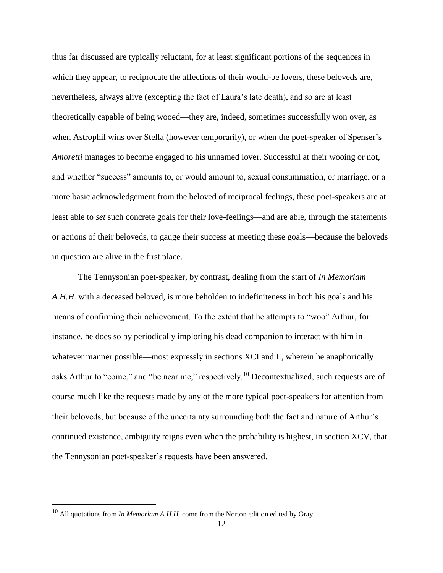thus far discussed are typically reluctant, for at least significant portions of the sequences in which they appear, to reciprocate the affections of their would-be lovers, these beloveds are, nevertheless, always alive (excepting the fact of Laura's late death), and so are at least theoretically capable of being wooed—they are, indeed, sometimes successfully won over, as when Astrophil wins over Stella (however temporarily), or when the poet-speaker of Spenser's *Amoretti* manages to become engaged to his unnamed lover. Successful at their wooing or not, and whether "success" amounts to, or would amount to, sexual consummation, or marriage, or a more basic acknowledgement from the beloved of reciprocal feelings, these poet-speakers are at least able to *set* such concrete goals for their love-feelings—and are able, through the statements or actions of their beloveds, to gauge their success at meeting these goals—because the beloveds in question are alive in the first place.

The Tennysonian poet-speaker, by contrast, dealing from the start of *In Memoriam A.H.H.* with a deceased beloved, is more beholden to indefiniteness in both his goals and his means of confirming their achievement. To the extent that he attempts to "woo" Arthur, for instance, he does so by periodically imploring his dead companion to interact with him in whatever manner possible—most expressly in sections XCI and L, wherein he anaphorically asks Arthur to "come," and "be near me," respectively.<sup>10</sup> Decontextualized, such requests are of course much like the requests made by any of the more typical poet-speakers for attention from their beloveds, but because of the uncertainty surrounding both the fact and nature of Arthur's continued existence, ambiguity reigns even when the probability is highest, in section XCV, that the Tennysonian poet-speaker's requests have been answered.

<sup>&</sup>lt;sup>10</sup> All quotations from *In Memoriam A.H.H.* come from the Norton edition edited by Gray.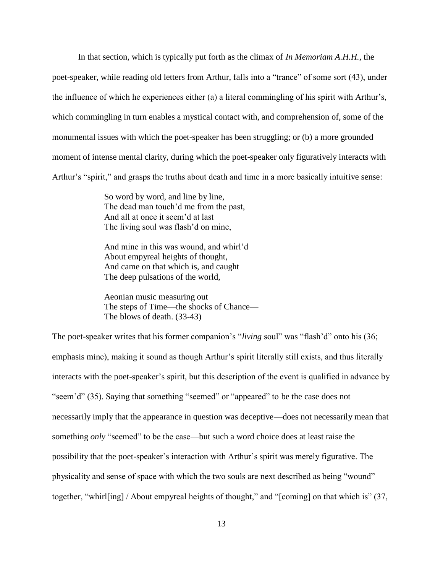In that section, which is typically put forth as the climax of *In Memoriam A.H.H.*, the poet-speaker, while reading old letters from Arthur, falls into a "trance" of some sort (43), under the influence of which he experiences either (a) a literal commingling of his spirit with Arthur's, which commingling in turn enables a mystical contact with, and comprehension of, some of the monumental issues with which the poet-speaker has been struggling; or (b) a more grounded moment of intense mental clarity, during which the poet-speaker only figuratively interacts with Arthur's "spirit," and grasps the truths about death and time in a more basically intuitive sense:

> So word by word, and line by line, The dead man touch'd me from the past, And all at once it seem'd at last The living soul was flash'd on mine,

And mine in this was wound, and whirl'd About empyreal heights of thought, And came on that which is, and caught The deep pulsations of the world,

Aeonian music measuring out The steps of Time—the shocks of Chance— The blows of death. (33-43)

The poet-speaker writes that his former companion's "*living* soul" was "flash'd" onto his (36; emphasis mine), making it sound as though Arthur's spirit literally still exists, and thus literally interacts with the poet-speaker's spirit, but this description of the event is qualified in advance by "seem'd" (35). Saying that something "seemed" or "appeared" to be the case does not necessarily imply that the appearance in question was deceptive—does not necessarily mean that something *only* "seemed" to be the case—but such a word choice does at least raise the possibility that the poet-speaker's interaction with Arthur's spirit was merely figurative. The physicality and sense of space with which the two souls are next described as being "wound" together, "whirl[ing] / About empyreal heights of thought," and "[coming] on that which is" (37,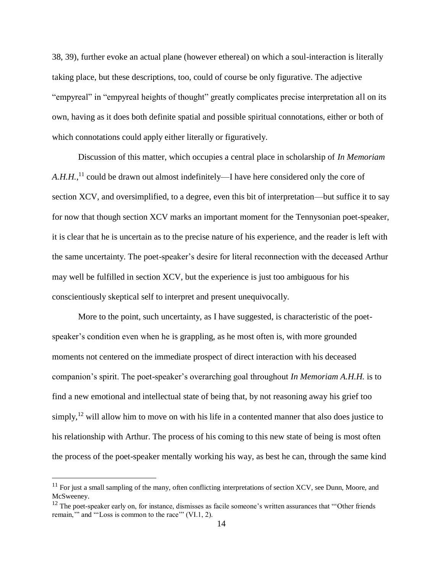38, 39), further evoke an actual plane (however ethereal) on which a soul-interaction is literally taking place, but these descriptions, too, could of course be only figurative. The adjective "empyreal" in "empyreal heights of thought" greatly complicates precise interpretation all on its own, having as it does both definite spatial and possible spiritual connotations, either or both of which connotations could apply either literally or figuratively.

Discussion of this matter, which occupies a central place in scholarship of *In Memoriam*  A.H.H.,<sup>11</sup> could be drawn out almost indefinitely—I have here considered only the core of section XCV, and oversimplified, to a degree, even this bit of interpretation—but suffice it to say for now that though section XCV marks an important moment for the Tennysonian poet-speaker, it is clear that he is uncertain as to the precise nature of his experience, and the reader is left with the same uncertainty. The poet-speaker's desire for literal reconnection with the deceased Arthur may well be fulfilled in section XCV, but the experience is just too ambiguous for his conscientiously skeptical self to interpret and present unequivocally.

More to the point, such uncertainty, as I have suggested, is characteristic of the poetspeaker's condition even when he is grappling, as he most often is, with more grounded moments not centered on the immediate prospect of direct interaction with his deceased companion's spirit. The poet-speaker's overarching goal throughout *In Memoriam A.H.H.* is to find a new emotional and intellectual state of being that, by not reasoning away his grief too simply,  $^{12}$  will allow him to move on with his life in a contented manner that also does justice to his relationship with Arthur. The process of his coming to this new state of being is most often the process of the poet-speaker mentally working his way, as best he can, through the same kind

 $11$  For just a small sampling of the many, often conflicting interpretations of section XCV, see Dunn, Moore, and McSweeney.

 $12$  The poet-speaker early on, for instance, dismisses as facile someone's written assurances that "Other friends" remain,'" and "'Loss is common to the race'" (VI.1, 2).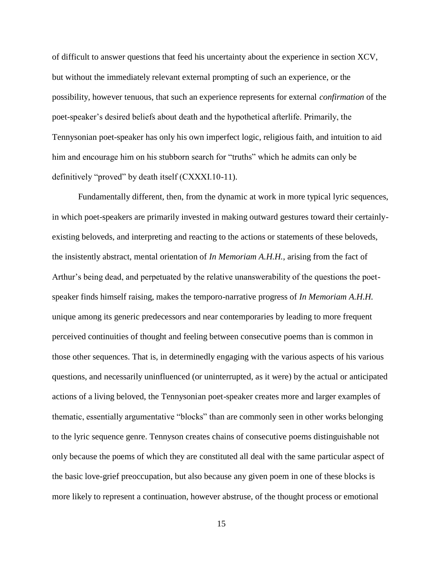of difficult to answer questions that feed his uncertainty about the experience in section XCV, but without the immediately relevant external prompting of such an experience, or the possibility, however tenuous, that such an experience represents for external *confirmation* of the poet-speaker's desired beliefs about death and the hypothetical afterlife. Primarily, the Tennysonian poet-speaker has only his own imperfect logic, religious faith, and intuition to aid him and encourage him on his stubborn search for "truths" which he admits can only be definitively "proved" by death itself (CXXXI.10-11).

Fundamentally different, then, from the dynamic at work in more typical lyric sequences, in which poet-speakers are primarily invested in making outward gestures toward their certainlyexisting beloveds, and interpreting and reacting to the actions or statements of these beloveds, the insistently abstract, mental orientation of *In Memoriam A.H.H.*, arising from the fact of Arthur's being dead, and perpetuated by the relative unanswerability of the questions the poetspeaker finds himself raising, makes the temporo-narrative progress of *In Memoriam A.H.H.* unique among its generic predecessors and near contemporaries by leading to more frequent perceived continuities of thought and feeling between consecutive poems than is common in those other sequences. That is, in determinedly engaging with the various aspects of his various questions, and necessarily uninfluenced (or uninterrupted, as it were) by the actual or anticipated actions of a living beloved, the Tennysonian poet-speaker creates more and larger examples of thematic, essentially argumentative "blocks" than are commonly seen in other works belonging to the lyric sequence genre. Tennyson creates chains of consecutive poems distinguishable not only because the poems of which they are constituted all deal with the same particular aspect of the basic love-grief preoccupation, but also because any given poem in one of these blocks is more likely to represent a continuation, however abstruse, of the thought process or emotional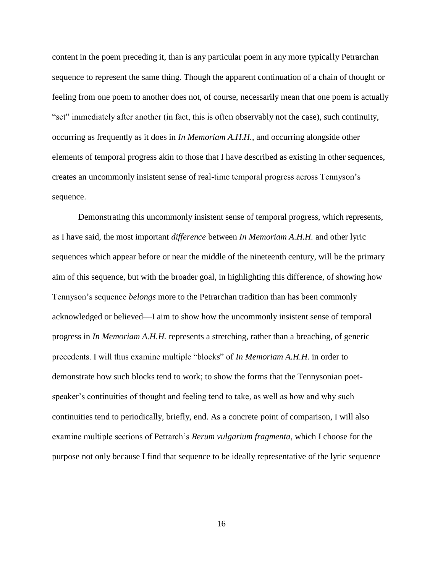content in the poem preceding it, than is any particular poem in any more typically Petrarchan sequence to represent the same thing. Though the apparent continuation of a chain of thought or feeling from one poem to another does not, of course, necessarily mean that one poem is actually "set" immediately after another (in fact, this is often observably not the case), such continuity, occurring as frequently as it does in *In Memoriam A.H.H.*, and occurring alongside other elements of temporal progress akin to those that I have described as existing in other sequences, creates an uncommonly insistent sense of real-time temporal progress across Tennyson's sequence.

Demonstrating this uncommonly insistent sense of temporal progress, which represents, as I have said, the most important *difference* between *In Memoriam A.H.H.* and other lyric sequences which appear before or near the middle of the nineteenth century, will be the primary aim of this sequence, but with the broader goal, in highlighting this difference, of showing how Tennyson's sequence *belongs* more to the Petrarchan tradition than has been commonly acknowledged or believed—I aim to show how the uncommonly insistent sense of temporal progress in *In Memoriam A.H.H.* represents a stretching, rather than a breaching, of generic precedents. I will thus examine multiple "blocks" of *In Memoriam A.H.H.* in order to demonstrate how such blocks tend to work; to show the forms that the Tennysonian poetspeaker's continuities of thought and feeling tend to take, as well as how and why such continuities tend to periodically, briefly, end. As a concrete point of comparison, I will also examine multiple sections of Petrarch's *Rerum vulgarium fragmenta*, which I choose for the purpose not only because I find that sequence to be ideally representative of the lyric sequence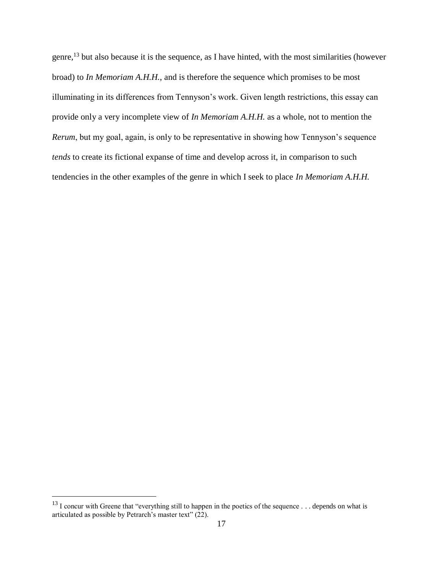genre,<sup>13</sup> but also because it is the sequence, as I have hinted, with the most similarities (however broad) to *In Memoriam A.H.H.*, and is therefore the sequence which promises to be most illuminating in its differences from Tennyson's work. Given length restrictions, this essay can provide only a very incomplete view of *In Memoriam A.H.H.* as a whole, not to mention the *Rerum*, but my goal, again, is only to be representative in showing how Tennyson's sequence *tends* to create its fictional expanse of time and develop across it, in comparison to such tendencies in the other examples of the genre in which I seek to place *In Memoriam A.H.H.*

<sup>&</sup>lt;sup>13</sup> I concur with Greene that "everything still to happen in the poetics of the sequence . . . depends on what is articulated as possible by Petrarch's master text" (22).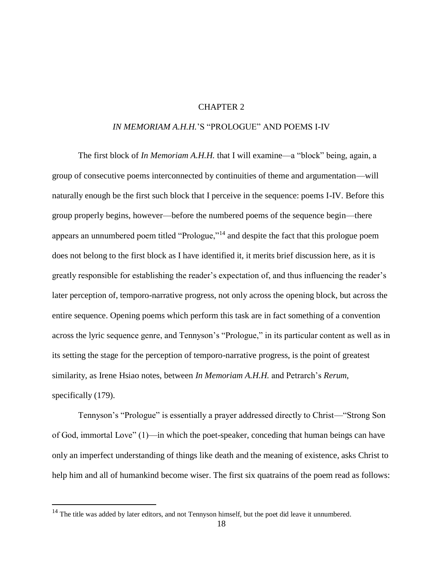### CHAPTER 2

### *IN MEMORIAM A.H.H.*'S "PROLOGUE" AND POEMS I-IV

<span id="page-24-0"></span>The first block of *In Memoriam A.H.H.* that I will examine—a "block" being, again, a group of consecutive poems interconnected by continuities of theme and argumentation—will naturally enough be the first such block that I perceive in the sequence: poems I-IV. Before this group properly begins, however—before the numbered poems of the sequence begin—there appears an unnumbered poem titled "Prologue,"<sup>14</sup> and despite the fact that this prologue poem does not belong to the first block as I have identified it, it merits brief discussion here, as it is greatly responsible for establishing the reader's expectation of, and thus influencing the reader's later perception of, temporo-narrative progress, not only across the opening block, but across the entire sequence. Opening poems which perform this task are in fact something of a convention across the lyric sequence genre, and Tennyson's "Prologue," in its particular content as well as in its setting the stage for the perception of temporo-narrative progress, is the point of greatest similarity, as Irene Hsiao notes, between *In Memoriam A.H.H.* and Petrarch's *Rerum*, specifically  $(179)$ .

Tennyson's "Prologue" is essentially a prayer addressed directly to Christ—"Strong Son of God, immortal Love" (1)—in which the poet-speaker, conceding that human beings can have only an imperfect understanding of things like death and the meaning of existence, asks Christ to help him and all of humankind become wiser. The first six quatrains of the poem read as follows:

<sup>&</sup>lt;sup>14</sup> The title was added by later editors, and not Tennyson himself, but the poet did leave it unnumbered.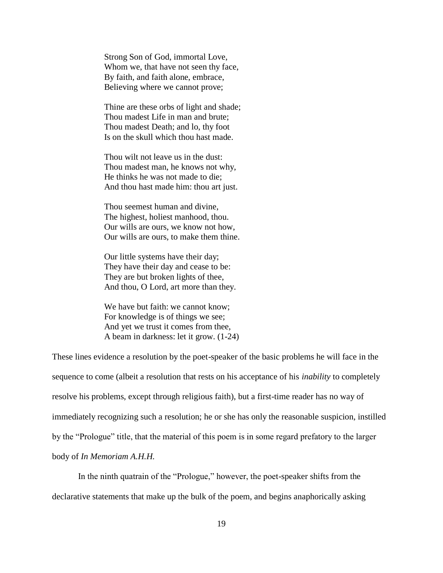Strong Son of God, immortal Love, Whom we, that have not seen thy face, By faith, and faith alone, embrace, Believing where we cannot prove;

Thine are these orbs of light and shade; Thou madest Life in man and brute; Thou madest Death; and lo, thy foot Is on the skull which thou hast made.

Thou wilt not leave us in the dust: Thou madest man, he knows not why, He thinks he was not made to die; And thou hast made him: thou art just.

Thou seemest human and divine, The highest, holiest manhood, thou. Our wills are ours, we know not how, Our wills are ours, to make them thine.

Our little systems have their day; They have their day and cease to be: They are but broken lights of thee, And thou, O Lord, art more than they.

We have but faith: we cannot know; For knowledge is of things we see; And yet we trust it comes from thee, A beam in darkness: let it grow. (1-24)

These lines evidence a resolution by the poet-speaker of the basic problems he will face in the sequence to come (albeit a resolution that rests on his acceptance of his *inability* to completely resolve his problems, except through religious faith), but a first-time reader has no way of immediately recognizing such a resolution; he or she has only the reasonable suspicion, instilled by the "Prologue" title, that the material of this poem is in some regard prefatory to the larger body of *In Memoriam A.H.H.*

In the ninth quatrain of the "Prologue," however, the poet-speaker shifts from the declarative statements that make up the bulk of the poem, and begins anaphorically asking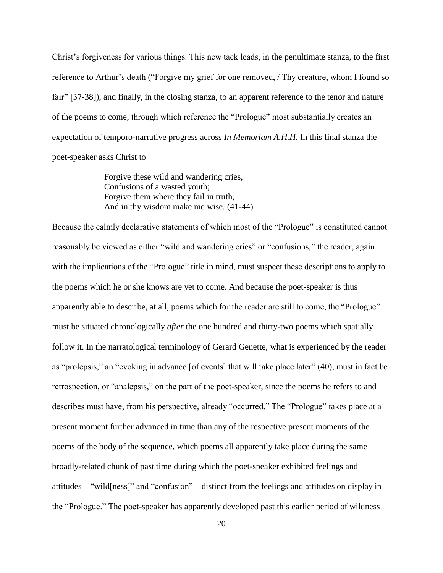Christ's forgiveness for various things. This new tack leads, in the penultimate stanza, to the first reference to Arthur's death ("Forgive my grief for one removed, / Thy creature, whom I found so fair" [37-38]), and finally, in the closing stanza, to an apparent reference to the tenor and nature of the poems to come, through which reference the "Prologue" most substantially creates an expectation of temporo-narrative progress across *In Memoriam A.H.H.* In this final stanza the poet-speaker asks Christ to

> Forgive these wild and wandering cries, Confusions of a wasted youth; Forgive them where they fail in truth, And in thy wisdom make me wise. (41-44)

Because the calmly declarative statements of which most of the "Prologue" is constituted cannot reasonably be viewed as either "wild and wandering cries" or "confusions," the reader, again with the implications of the "Prologue" title in mind, must suspect these descriptions to apply to the poems which he or she knows are yet to come. And because the poet-speaker is thus apparently able to describe, at all, poems which for the reader are still to come, the "Prologue" must be situated chronologically *after* the one hundred and thirty-two poems which spatially follow it. In the narratological terminology of Gerard Genette, what is experienced by the reader as "prolepsis," an "evoking in advance [of events] that will take place later" (40), must in fact be retrospection, or "analepsis," on the part of the poet-speaker, since the poems he refers to and describes must have, from his perspective, already "occurred." The "Prologue" takes place at a present moment further advanced in time than any of the respective present moments of the poems of the body of the sequence, which poems all apparently take place during the same broadly-related chunk of past time during which the poet-speaker exhibited feelings and attitudes—"wild[ness]" and "confusion"—distinct from the feelings and attitudes on display in the "Prologue." The poet-speaker has apparently developed past this earlier period of wildness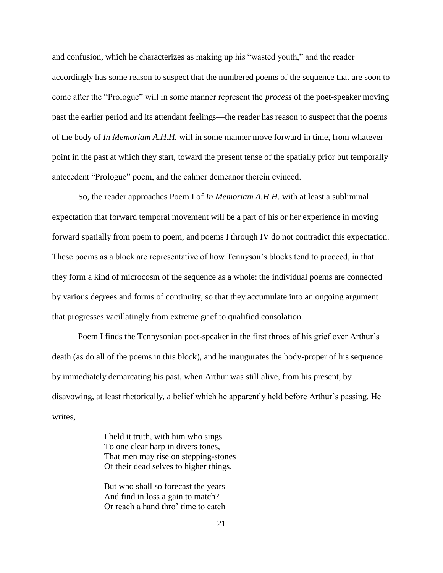and confusion, which he characterizes as making up his "wasted youth," and the reader accordingly has some reason to suspect that the numbered poems of the sequence that are soon to come after the "Prologue" will in some manner represent the *process* of the poet-speaker moving past the earlier period and its attendant feelings—the reader has reason to suspect that the poems of the body of *In Memoriam A.H.H.* will in some manner move forward in time, from whatever point in the past at which they start, toward the present tense of the spatially prior but temporally antecedent "Prologue" poem, and the calmer demeanor therein evinced.

So, the reader approaches Poem I of *In Memoriam A.H.H.* with at least a subliminal expectation that forward temporal movement will be a part of his or her experience in moving forward spatially from poem to poem, and poems I through IV do not contradict this expectation. These poems as a block are representative of how Tennyson's blocks tend to proceed, in that they form a kind of microcosm of the sequence as a whole: the individual poems are connected by various degrees and forms of continuity, so that they accumulate into an ongoing argument that progresses vacillatingly from extreme grief to qualified consolation.

Poem I finds the Tennysonian poet-speaker in the first throes of his grief over Arthur's death (as do all of the poems in this block), and he inaugurates the body-proper of his sequence by immediately demarcating his past, when Arthur was still alive, from his present, by disavowing, at least rhetorically, a belief which he apparently held before Arthur's passing. He writes,

> I held it truth, with him who sings To one clear harp in divers tones, That men may rise on stepping-stones Of their dead selves to higher things.

But who shall so forecast the years And find in loss a gain to match? Or reach a hand thro' time to catch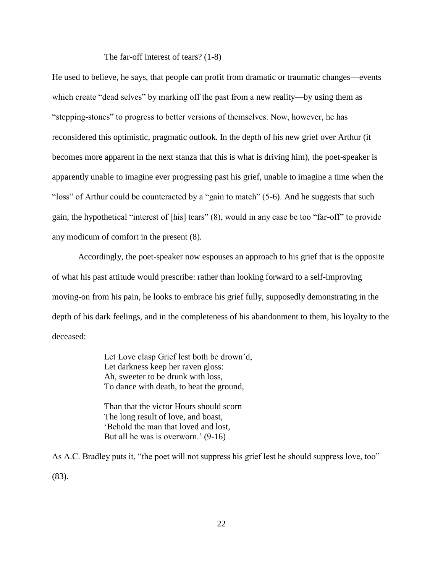The far-off interest of tears? (1-8)

He used to believe, he says, that people can profit from dramatic or traumatic changes—events which create "dead selves" by marking off the past from a new reality—by using them as "stepping-stones" to progress to better versions of themselves. Now, however, he has reconsidered this optimistic, pragmatic outlook. In the depth of his new grief over Arthur (it becomes more apparent in the next stanza that this is what is driving him), the poet-speaker is apparently unable to imagine ever progressing past his grief, unable to imagine a time when the "loss" of Arthur could be counteracted by a "gain to match" (5-6). And he suggests that such gain, the hypothetical "interest of [his] tears" (8), would in any case be too "far-off" to provide any modicum of comfort in the present (8).

Accordingly, the poet-speaker now espouses an approach to his grief that is the opposite of what his past attitude would prescribe: rather than looking forward to a self-improving moving-on from his pain, he looks to embrace his grief fully, supposedly demonstrating in the depth of his dark feelings, and in the completeness of his abandonment to them, his loyalty to the deceased:

> Let Love clasp Grief lest both be drown'd, Let darkness keep her raven gloss: Ah, sweeter to be drunk with loss, To dance with death, to beat the ground,

Than that the victor Hours should scorn The long result of love, and boast, 'Behold the man that loved and lost, But all he was is overworn.' (9-16)

As A.C. Bradley puts it, "the poet will not suppress his grief lest he should suppress love, too" (83).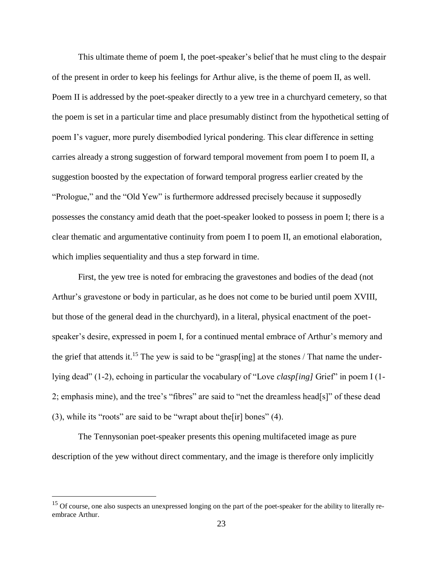This ultimate theme of poem I, the poet-speaker's belief that he must cling to the despair of the present in order to keep his feelings for Arthur alive, is the theme of poem II, as well. Poem II is addressed by the poet-speaker directly to a yew tree in a churchyard cemetery, so that the poem is set in a particular time and place presumably distinct from the hypothetical setting of poem I's vaguer, more purely disembodied lyrical pondering. This clear difference in setting carries already a strong suggestion of forward temporal movement from poem I to poem II, a suggestion boosted by the expectation of forward temporal progress earlier created by the "Prologue," and the "Old Yew" is furthermore addressed precisely because it supposedly possesses the constancy amid death that the poet-speaker looked to possess in poem I; there is a clear thematic and argumentative continuity from poem I to poem II, an emotional elaboration, which implies sequentiality and thus a step forward in time.

First, the yew tree is noted for embracing the gravestones and bodies of the dead (not Arthur's gravestone or body in particular, as he does not come to be buried until poem XVIII, but those of the general dead in the churchyard), in a literal, physical enactment of the poetspeaker's desire, expressed in poem I, for a continued mental embrace of Arthur's memory and the grief that attends it.<sup>15</sup> The yew is said to be "grasp[ing] at the stones / That name the underlying dead" (1-2), echoing in particular the vocabulary of "Love *clasp[ing]* Grief" in poem I (1- 2; emphasis mine), and the tree's "fibres" are said to "net the dreamless head[s]" of these dead (3), while its "roots" are said to be "wrapt about the [ir] bones"  $(4)$ .

The Tennysonian poet-speaker presents this opening multifaceted image as pure description of the yew without direct commentary, and the image is therefore only implicitly

<sup>&</sup>lt;sup>15</sup> Of course, one also suspects an unexpressed longing on the part of the poet-speaker for the ability to literally reembrace Arthur.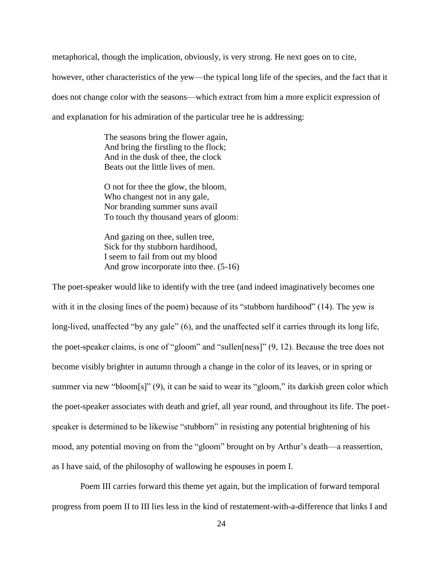metaphorical, though the implication, obviously, is very strong. He next goes on to cite, however, other characteristics of the yew—the typical long life of the species, and the fact that it does not change color with the seasons—which extract from him a more explicit expression of and explanation for his admiration of the particular tree he is addressing:

> The seasons bring the flower again, And bring the firstling to the flock; And in the dusk of thee, the clock Beats out the little lives of men.

O not for thee the glow, the bloom, Who changest not in any gale, Nor branding summer suns avail To touch thy thousand years of gloom:

And gazing on thee, sullen tree, Sick for thy stubborn hardihood, I seem to fail from out my blood And grow incorporate into thee. (5-16)

The poet-speaker would like to identify with the tree (and indeed imaginatively becomes one with it in the closing lines of the poem) because of its "stubborn hardihood" (14). The yew is long-lived, unaffected "by any gale" (6), and the unaffected self it carries through its long life, the poet-speaker claims, is one of "gloom" and "sullen[ness]" (9, 12). Because the tree does not become visibly brighter in autumn through a change in the color of its leaves, or in spring or summer via new "bloom[s]" (9), it can be said to wear its "gloom," its darkish green color which the poet-speaker associates with death and grief, all year round, and throughout its life. The poetspeaker is determined to be likewise "stubborn" in resisting any potential brightening of his mood, any potential moving on from the "gloom" brought on by Arthur's death—a reassertion, as I have said, of the philosophy of wallowing he espouses in poem I.

Poem III carries forward this theme yet again, but the implication of forward temporal progress from poem II to III lies less in the kind of restatement-with-a-difference that links I and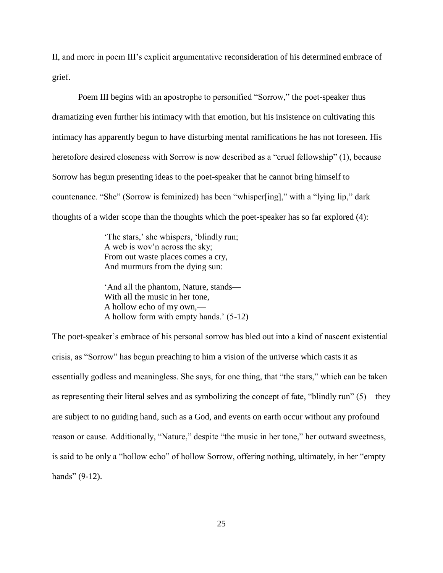II, and more in poem III's explicit argumentative reconsideration of his determined embrace of grief.

Poem III begins with an apostrophe to personified "Sorrow," the poet-speaker thus dramatizing even further his intimacy with that emotion, but his insistence on cultivating this intimacy has apparently begun to have disturbing mental ramifications he has not foreseen. His heretofore desired closeness with Sorrow is now described as a "cruel fellowship" (1), because Sorrow has begun presenting ideas to the poet-speaker that he cannot bring himself to countenance. "She" (Sorrow is feminized) has been "whisper[ing]," with a "lying lip," dark thoughts of a wider scope than the thoughts which the poet-speaker has so far explored (4):

> 'The stars,' she whispers, 'blindly run; A web is wov'n across the sky; From out waste places comes a cry, And murmurs from the dying sun:

'And all the phantom, Nature, stands— With all the music in her tone, A hollow echo of my own,— A hollow form with empty hands.' (5-12)

The poet-speaker's embrace of his personal sorrow has bled out into a kind of nascent existential crisis, as "Sorrow" has begun preaching to him a vision of the universe which casts it as essentially godless and meaningless. She says, for one thing, that "the stars," which can be taken as representing their literal selves and as symbolizing the concept of fate, "blindly run" (5)—they are subject to no guiding hand, such as a God, and events on earth occur without any profound reason or cause. Additionally, "Nature," despite "the music in her tone," her outward sweetness, is said to be only a "hollow echo" of hollow Sorrow, offering nothing, ultimately, in her "empty hands" (9-12).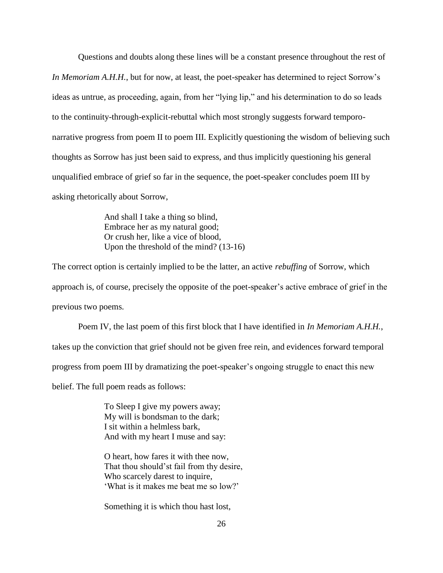Questions and doubts along these lines will be a constant presence throughout the rest of *In Memoriam A.H.H.*, but for now, at least, the poet-speaker has determined to reject Sorrow's ideas as untrue, as proceeding, again, from her "lying lip," and his determination to do so leads to the continuity-through-explicit-rebuttal which most strongly suggests forward temporonarrative progress from poem II to poem III. Explicitly questioning the wisdom of believing such thoughts as Sorrow has just been said to express, and thus implicitly questioning his general unqualified embrace of grief so far in the sequence, the poet-speaker concludes poem III by asking rhetorically about Sorrow,

> And shall I take a thing so blind, Embrace her as my natural good; Or crush her, like a vice of blood, Upon the threshold of the mind? (13-16)

The correct option is certainly implied to be the latter, an active *rebuffing* of Sorrow, which approach is, of course, precisely the opposite of the poet-speaker's active embrace of grief in the previous two poems.

Poem IV, the last poem of this first block that I have identified in *In Memoriam A.H.H.*, takes up the conviction that grief should not be given free rein, and evidences forward temporal progress from poem III by dramatizing the poet-speaker's ongoing struggle to enact this new belief. The full poem reads as follows:

> To Sleep I give my powers away; My will is bondsman to the dark; I sit within a helmless bark, And with my heart I muse and say:

O heart, how fares it with thee now, That thou should'st fail from thy desire, Who scarcely darest to inquire, 'What is it makes me beat me so low?'

Something it is which thou hast lost,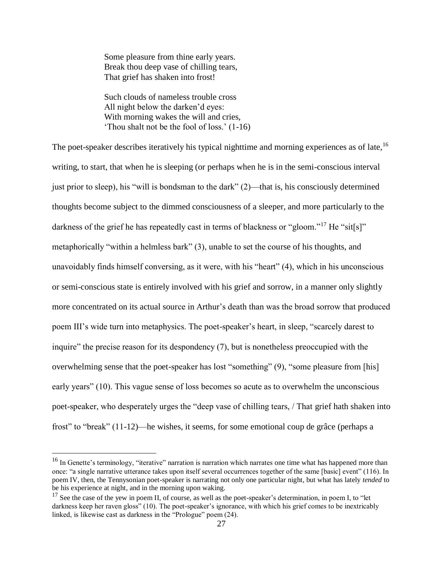Some pleasure from thine early years. Break thou deep vase of chilling tears, That grief has shaken into frost!

Such clouds of nameless trouble cross All night below the darken'd eyes: With morning wakes the will and cries, 'Thou shalt not be the fool of loss.' (1-16)

The poet-speaker describes iteratively his typical nighttime and morning experiences as of late.<sup>16</sup> writing, to start, that when he is sleeping (or perhaps when he is in the semi-conscious interval just prior to sleep), his "will is bondsman to the dark" (2)—that is, his consciously determined thoughts become subject to the dimmed consciousness of a sleeper, and more particularly to the darkness of the grief he has repeatedly cast in terms of blackness or "gloom."<sup>17</sup> He "sit[s]" metaphorically "within a helmless bark" (3), unable to set the course of his thoughts, and unavoidably finds himself conversing, as it were, with his "heart" (4), which in his unconscious or semi-conscious state is entirely involved with his grief and sorrow, in a manner only slightly more concentrated on its actual source in Arthur's death than was the broad sorrow that produced poem III's wide turn into metaphysics. The poet-speaker's heart, in sleep, "scarcely darest to inquire" the precise reason for its despondency (7), but is nonetheless preoccupied with the overwhelming sense that the poet-speaker has lost "something" (9), "some pleasure from [his] early years" (10). This vague sense of loss becomes so acute as to overwhelm the unconscious poet-speaker, who desperately urges the "deep vase of chilling tears, / That grief hath shaken into frost" to "break" (11-12)—he wishes, it seems, for some emotional coup de grâce (perhaps a

<sup>&</sup>lt;sup>16</sup> In Genette's terminology, "iterative" narration is narration which narrates one time what has happened more than once: "a single narrative utterance takes upon itself several occurrences together of the same [basic] event" (116). In poem IV, then, the Tennysonian poet-speaker is narrating not only one particular night, but what has lately *tended* to be his experience at night, and in the morning upon waking.

 $17$  See the case of the yew in poem II, of course, as well as the poet-speaker's determination, in poem I, to "let darkness keep her raven gloss" (10). The poet-speaker's ignorance, with which his grief comes to be inextricably linked, is likewise cast as darkness in the "Prologue" poem (24).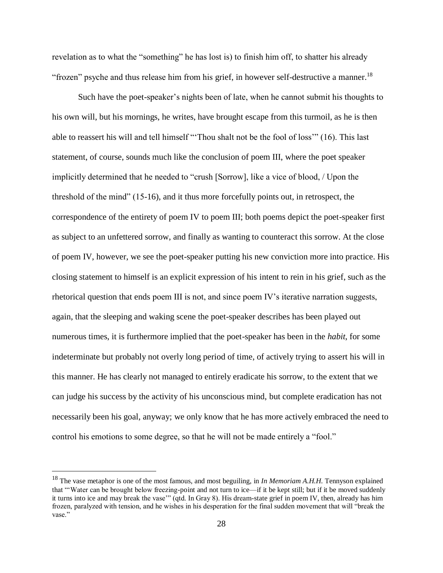revelation as to what the "something" he has lost is) to finish him off, to shatter his already "frozen" psyche and thus release him from his grief, in however self-destructive a manner.<sup>18</sup>

Such have the poet-speaker's nights been of late, when he cannot submit his thoughts to his own will, but his mornings, he writes, have brought escape from this turmoil, as he is then able to reassert his will and tell himself "'Thou shalt not be the fool of loss'" (16). This last statement, of course, sounds much like the conclusion of poem III, where the poet speaker implicitly determined that he needed to "crush [Sorrow], like a vice of blood, / Upon the threshold of the mind" (15-16), and it thus more forcefully points out, in retrospect, the correspondence of the entirety of poem IV to poem III; both poems depict the poet-speaker first as subject to an unfettered sorrow, and finally as wanting to counteract this sorrow. At the close of poem IV, however, we see the poet-speaker putting his new conviction more into practice. His closing statement to himself is an explicit expression of his intent to rein in his grief, such as the rhetorical question that ends poem III is not, and since poem IV's iterative narration suggests, again, that the sleeping and waking scene the poet-speaker describes has been played out numerous times, it is furthermore implied that the poet-speaker has been in the *habit*, for some indeterminate but probably not overly long period of time, of actively trying to assert his will in this manner. He has clearly not managed to entirely eradicate his sorrow, to the extent that we can judge his success by the activity of his unconscious mind, but complete eradication has not necessarily been his goal, anyway; we only know that he has more actively embraced the need to control his emotions to some degree, so that he will not be made entirely a "fool."

<sup>18</sup> The vase metaphor is one of the most famous, and most beguiling, in *In Memoriam A.H.H.* Tennyson explained that "'Water can be brought below freezing-point and not turn to ice—if it be kept still; but if it be moved suddenly it turns into ice and may break the vase'" (qtd. In Gray 8). His dream-state grief in poem IV, then, already has him frozen, paralyzed with tension, and he wishes in his desperation for the final sudden movement that will "break the vase."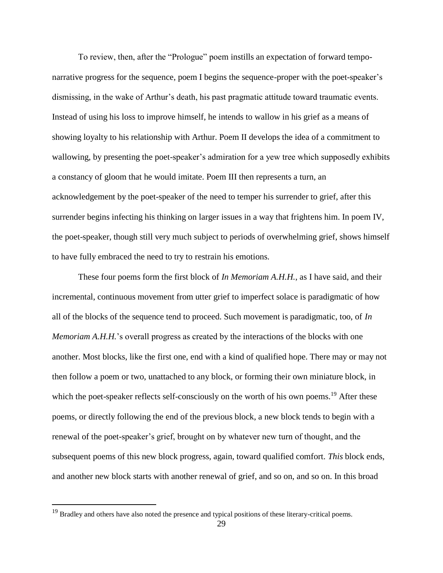To review, then, after the "Prologue" poem instills an expectation of forward temponarrative progress for the sequence, poem I begins the sequence-proper with the poet-speaker's dismissing, in the wake of Arthur's death, his past pragmatic attitude toward traumatic events. Instead of using his loss to improve himself, he intends to wallow in his grief as a means of showing loyalty to his relationship with Arthur. Poem II develops the idea of a commitment to wallowing, by presenting the poet-speaker's admiration for a yew tree which supposedly exhibits a constancy of gloom that he would imitate. Poem III then represents a turn, an acknowledgement by the poet-speaker of the need to temper his surrender to grief, after this surrender begins infecting his thinking on larger issues in a way that frightens him. In poem IV, the poet-speaker, though still very much subject to periods of overwhelming grief, shows himself to have fully embraced the need to try to restrain his emotions.

These four poems form the first block of *In Memoriam A.H.H.*, as I have said, and their incremental, continuous movement from utter grief to imperfect solace is paradigmatic of how all of the blocks of the sequence tend to proceed. Such movement is paradigmatic, too, of *In Memoriam A.H.H.*'s overall progress as created by the interactions of the blocks with one another. Most blocks, like the first one, end with a kind of qualified hope. There may or may not then follow a poem or two, unattached to any block, or forming their own miniature block, in which the poet-speaker reflects self-consciously on the worth of his own poems.<sup>19</sup> After these poems, or directly following the end of the previous block, a new block tends to begin with a renewal of the poet-speaker's grief, brought on by whatever new turn of thought, and the subsequent poems of this new block progress, again, toward qualified comfort. *This* block ends, and another new block starts with another renewal of grief, and so on, and so on. In this broad

<sup>&</sup>lt;sup>19</sup> Bradley and others have also noted the presence and typical positions of these literary-critical poems.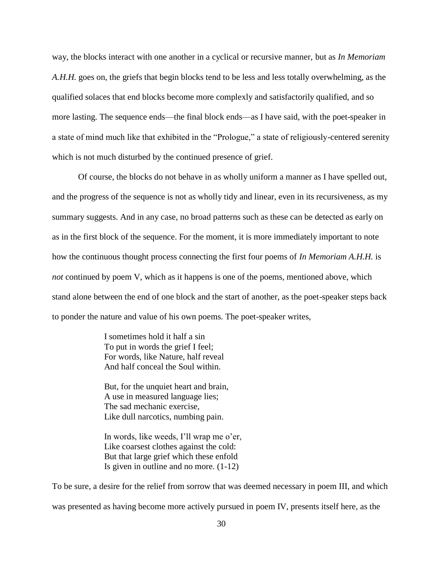way, the blocks interact with one another in a cyclical or recursive manner, but as *In Memoriam A.H.H.* goes on, the griefs that begin blocks tend to be less and less totally overwhelming, as the qualified solaces that end blocks become more complexly and satisfactorily qualified, and so more lasting. The sequence ends—the final block ends—as I have said, with the poet-speaker in a state of mind much like that exhibited in the "Prologue," a state of religiously-centered serenity which is not much disturbed by the continued presence of grief.

Of course, the blocks do not behave in as wholly uniform a manner as I have spelled out, and the progress of the sequence is not as wholly tidy and linear, even in its recursiveness, as my summary suggests. And in any case, no broad patterns such as these can be detected as early on as in the first block of the sequence. For the moment, it is more immediately important to note how the continuous thought process connecting the first four poems of *In Memoriam A.H.H.* is *not* continued by poem V, which as it happens is one of the poems, mentioned above, which stand alone between the end of one block and the start of another, as the poet-speaker steps back to ponder the nature and value of his own poems. The poet-speaker writes,

> I sometimes hold it half a sin To put in words the grief I feel; For words, like Nature, half reveal And half conceal the Soul within.

But, for the unquiet heart and brain, A use in measured language lies; The sad mechanic exercise, Like dull narcotics, numbing pain.

In words, like weeds, I'll wrap me o'er, Like coarsest clothes against the cold: But that large grief which these enfold Is given in outline and no more. (1-12)

To be sure, a desire for the relief from sorrow that was deemed necessary in poem III, and which was presented as having become more actively pursued in poem IV, presents itself here, as the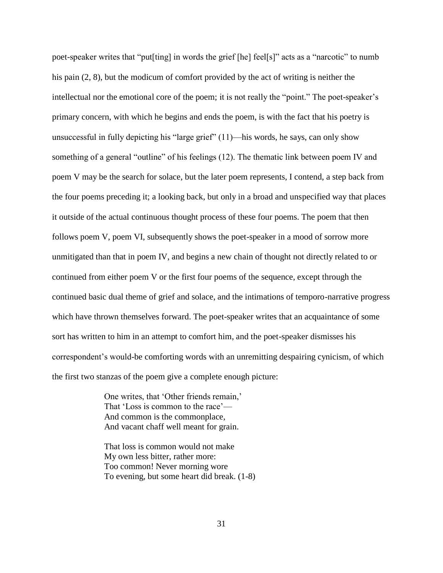poet-speaker writes that "put[ting] in words the grief [he] feel[s]" acts as a "narcotic" to numb his pain (2, 8), but the modicum of comfort provided by the act of writing is neither the intellectual nor the emotional core of the poem; it is not really the "point." The poet-speaker's primary concern, with which he begins and ends the poem, is with the fact that his poetry is unsuccessful in fully depicting his "large grief" (11)—his words, he says, can only show something of a general "outline" of his feelings (12). The thematic link between poem IV and poem V may be the search for solace, but the later poem represents, I contend, a step back from the four poems preceding it; a looking back, but only in a broad and unspecified way that places it outside of the actual continuous thought process of these four poems. The poem that then follows poem V, poem VI, subsequently shows the poet-speaker in a mood of sorrow more unmitigated than that in poem IV, and begins a new chain of thought not directly related to or continued from either poem V or the first four poems of the sequence, except through the continued basic dual theme of grief and solace, and the intimations of temporo-narrative progress which have thrown themselves forward. The poet-speaker writes that an acquaintance of some sort has written to him in an attempt to comfort him, and the poet-speaker dismisses his correspondent's would-be comforting words with an unremitting despairing cynicism, of which the first two stanzas of the poem give a complete enough picture:

> One writes, that 'Other friends remain,' That 'Loss is common to the race'— And common is the commonplace, And vacant chaff well meant for grain.

That loss is common would not make My own less bitter, rather more: Too common! Never morning wore To evening, but some heart did break. (1-8)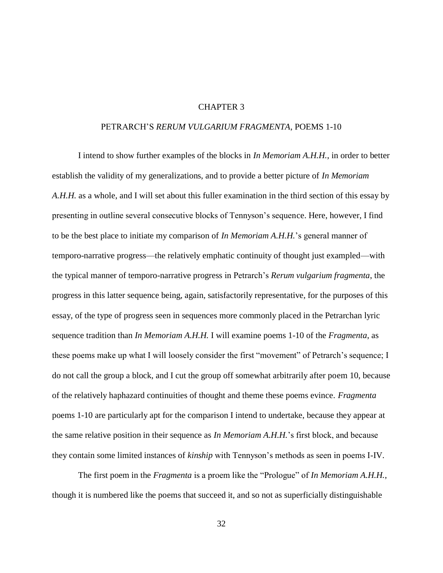### CHAPTER 3

### PETRARCH'S *RERUM VULGARIUM FRAGMENTA*, POEMS 1-10

I intend to show further examples of the blocks in *In Memoriam A.H.H.*, in order to better establish the validity of my generalizations, and to provide a better picture of *In Memoriam A.H.H.* as a whole, and I will set about this fuller examination in the third section of this essay by presenting in outline several consecutive blocks of Tennyson's sequence. Here, however, I find to be the best place to initiate my comparison of *In Memoriam A.H.H.*'s general manner of temporo-narrative progress—the relatively emphatic continuity of thought just exampled—with the typical manner of temporo-narrative progress in Petrarch's *Rerum vulgarium fragmenta*, the progress in this latter sequence being, again, satisfactorily representative, for the purposes of this essay, of the type of progress seen in sequences more commonly placed in the Petrarchan lyric sequence tradition than *In Memoriam A.H.H.* I will examine poems 1-10 of the *Fragmenta*, as these poems make up what I will loosely consider the first "movement" of Petrarch's sequence; I do not call the group a block, and I cut the group off somewhat arbitrarily after poem 10, because of the relatively haphazard continuities of thought and theme these poems evince. *Fragmenta* poems 1-10 are particularly apt for the comparison I intend to undertake, because they appear at the same relative position in their sequence as *In Memoriam A.H.H.*'s first block, and because they contain some limited instances of *kinship* with Tennyson's methods as seen in poems I-IV.

The first poem in the *Fragmenta* is a proem like the "Prologue" of *In Memoriam A.H.H.*, though it is numbered like the poems that succeed it, and so not as superficially distinguishable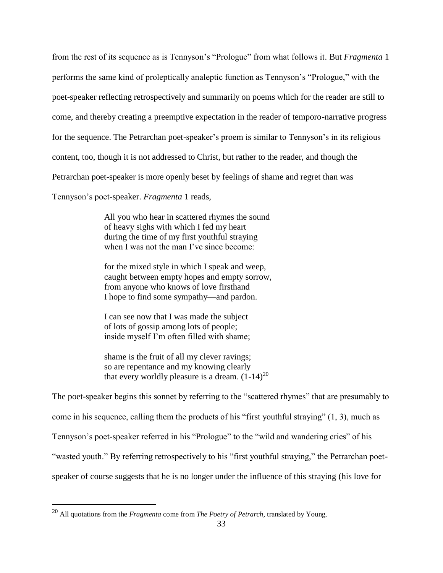from the rest of its sequence as is Tennyson's "Prologue" from what follows it*.* But *Fragmenta* 1 performs the same kind of proleptically analeptic function as Tennyson's "Prologue," with the poet-speaker reflecting retrospectively and summarily on poems which for the reader are still to come, and thereby creating a preemptive expectation in the reader of temporo-narrative progress for the sequence. The Petrarchan poet-speaker's proem is similar to Tennyson's in its religious content, too, though it is not addressed to Christ, but rather to the reader, and though the Petrarchan poet-speaker is more openly beset by feelings of shame and regret than was

Tennyson's poet-speaker. *Fragmenta* 1 reads,

All you who hear in scattered rhymes the sound of heavy sighs with which I fed my heart during the time of my first youthful straying when I was not the man I've since become:

for the mixed style in which I speak and weep, caught between empty hopes and empty sorrow, from anyone who knows of love firsthand I hope to find some sympathy—and pardon.

I can see now that I was made the subject of lots of gossip among lots of people; inside myself I'm often filled with shame;

shame is the fruit of all my clever ravings; so are repentance and my knowing clearly that every worldly pleasure is a dream.  $(1-14)^{20}$ 

The poet-speaker begins this sonnet by referring to the "scattered rhymes" that are presumably to come in his sequence, calling them the products of his "first youthful straying" (1, 3), much as Tennyson's poet-speaker referred in his "Prologue" to the "wild and wandering cries" of his "wasted youth." By referring retrospectively to his "first youthful straying," the Petrarchan poetspeaker of course suggests that he is no longer under the influence of this straying (his love for

<sup>20</sup> All quotations from the *Fragmenta* come from *The Poetry of Petrarch*, translated by Young.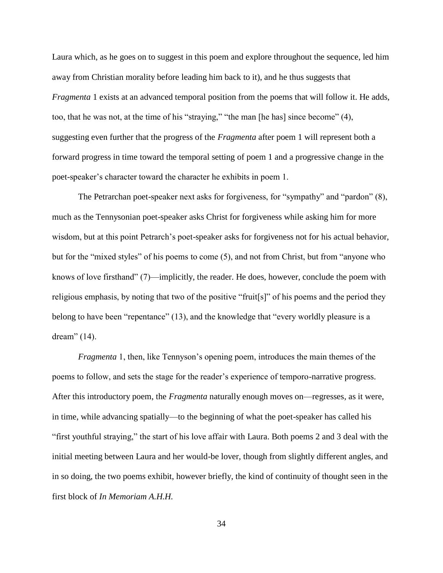Laura which, as he goes on to suggest in this poem and explore throughout the sequence, led him away from Christian morality before leading him back to it), and he thus suggests that *Fragmenta* 1 exists at an advanced temporal position from the poems that will follow it. He adds, too, that he was not, at the time of his "straying," "the man [he has] since become" (4), suggesting even further that the progress of the *Fragmenta* after poem 1 will represent both a forward progress in time toward the temporal setting of poem 1 and a progressive change in the poet-speaker's character toward the character he exhibits in poem 1.

The Petrarchan poet-speaker next asks for forgiveness, for "sympathy" and "pardon" (8), much as the Tennysonian poet-speaker asks Christ for forgiveness while asking him for more wisdom, but at this point Petrarch's poet-speaker asks for forgiveness not for his actual behavior, but for the "mixed styles" of his poems to come (5), and not from Christ, but from "anyone who knows of love firsthand" (7)—implicitly, the reader. He does, however, conclude the poem with religious emphasis, by noting that two of the positive "fruit[s]" of his poems and the period they belong to have been "repentance" (13), and the knowledge that "every worldly pleasure is a dream" (14).

*Fragmenta* 1, then, like Tennyson's opening poem, introduces the main themes of the poems to follow, and sets the stage for the reader's experience of temporo-narrative progress. After this introductory poem, the *Fragmenta* naturally enough moves on—regresses, as it were, in time, while advancing spatially—to the beginning of what the poet-speaker has called his "first youthful straying," the start of his love affair with Laura. Both poems 2 and 3 deal with the initial meeting between Laura and her would-be lover, though from slightly different angles, and in so doing, the two poems exhibit, however briefly, the kind of continuity of thought seen in the first block of *In Memoriam A.H.H.*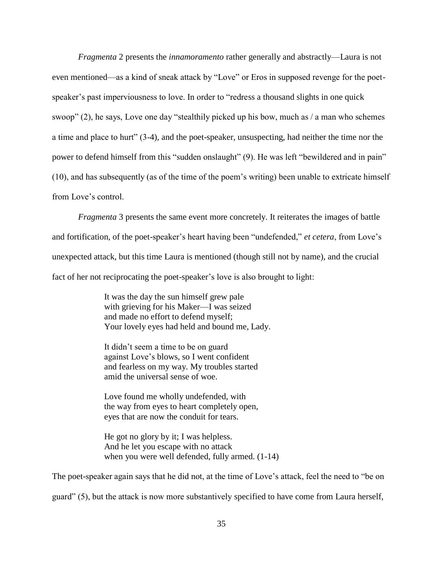*Fragmenta* 2 presents the *innamoramento* rather generally and abstractly—Laura is not even mentioned—as a kind of sneak attack by "Love" or Eros in supposed revenge for the poetspeaker's past imperviousness to love. In order to "redress a thousand slights in one quick swoop" (2), he says, Love one day "stealthily picked up his bow, much as / a man who schemes a time and place to hurt" (3-4), and the poet-speaker, unsuspecting, had neither the time nor the power to defend himself from this "sudden onslaught" (9). He was left "bewildered and in pain" (10), and has subsequently (as of the time of the poem's writing) been unable to extricate himself from Love's control.

*Fragmenta* 3 presents the same event more concretely. It reiterates the images of battle and fortification, of the poet-speaker's heart having been "undefended," *et cetera*, from Love's unexpected attack, but this time Laura is mentioned (though still not by name), and the crucial fact of her not reciprocating the poet-speaker's love is also brought to light:

> It was the day the sun himself grew pale with grieving for his Maker—I was seized and made no effort to defend myself; Your lovely eyes had held and bound me, Lady.

It didn't seem a time to be on guard against Love's blows, so I went confident and fearless on my way. My troubles started amid the universal sense of woe.

Love found me wholly undefended, with the way from eyes to heart completely open, eyes that are now the conduit for tears.

He got no glory by it; I was helpless. And he let you escape with no attack when you were well defended, fully armed. (1-14)

The poet-speaker again says that he did not, at the time of Love's attack, feel the need to "be on guard" (5), but the attack is now more substantively specified to have come from Laura herself,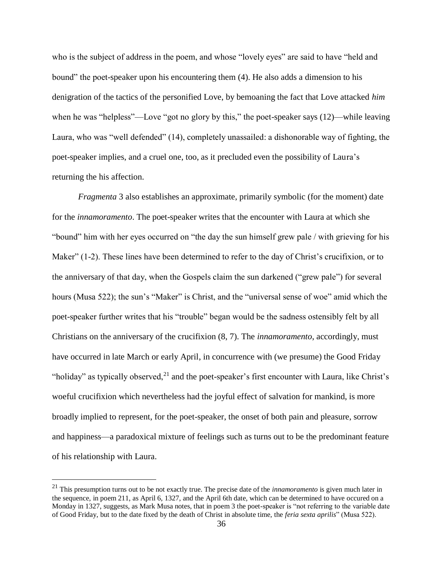who is the subject of address in the poem, and whose "lovely eyes" are said to have "held and bound" the poet-speaker upon his encountering them (4). He also adds a dimension to his denigration of the tactics of the personified Love, by bemoaning the fact that Love attacked *him* when he was "helpless"—Love "got no glory by this," the poet-speaker says (12)—while leaving Laura, who was "well defended" (14), completely unassailed: a dishonorable way of fighting, the poet-speaker implies, and a cruel one, too, as it precluded even the possibility of Laura's returning the his affection.

*Fragmenta* 3 also establishes an approximate, primarily symbolic (for the moment) date for the *innamoramento*. The poet-speaker writes that the encounter with Laura at which she "bound" him with her eyes occurred on "the day the sun himself grew pale / with grieving for his Maker" (1-2). These lines have been determined to refer to the day of Christ's crucifixion, or to the anniversary of that day, when the Gospels claim the sun darkened ("grew pale") for several hours (Musa 522); the sun's "Maker" is Christ, and the "universal sense of woe" amid which the poet-speaker further writes that his "trouble" began would be the sadness ostensibly felt by all Christians on the anniversary of the crucifixion (8, 7). The *innamoramento*, accordingly, must have occurred in late March or early April, in concurrence with (we presume) the Good Friday "holiday" as typically observed, $^{21}$  and the poet-speaker's first encounter with Laura, like Christ's woeful crucifixion which nevertheless had the joyful effect of salvation for mankind, is more broadly implied to represent, for the poet-speaker, the onset of both pain and pleasure, sorrow and happiness—a paradoxical mixture of feelings such as turns out to be the predominant feature of his relationship with Laura.

<sup>21</sup> This presumption turns out to be not exactly true. The precise date of the *innamoramento* is given much later in the sequence, in poem 211, as April 6, 1327, and the April 6th date, which can be determined to have occured on a Monday in 1327, suggests, as Mark Musa notes, that in poem 3 the poet-speaker is "not referring to the variable date of Good Friday, but to the date fixed by the death of Christ in absolute time, the *feria sexta aprilis*" (Musa 522).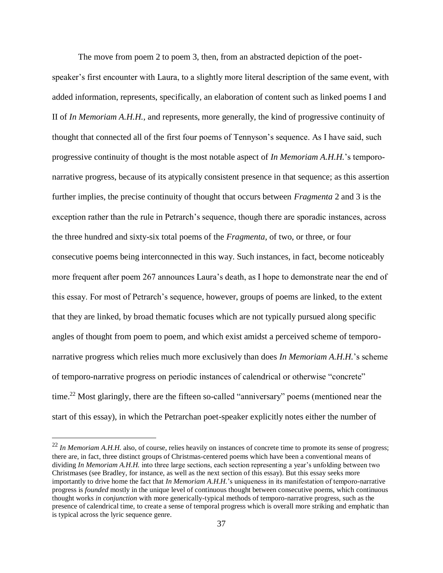The move from poem 2 to poem 3, then, from an abstracted depiction of the poet-

speaker's first encounter with Laura, to a slightly more literal description of the same event, with added information, represents, specifically, an elaboration of content such as linked poems I and II of *In Memoriam A.H.H.*, and represents, more generally, the kind of progressive continuity of thought that connected all of the first four poems of Tennyson's sequence. As I have said, such progressive continuity of thought is the most notable aspect of *In Memoriam A.H.H.*'s temporonarrative progress, because of its atypically consistent presence in that sequence; as this assertion further implies, the precise continuity of thought that occurs between *Fragmenta* 2 and 3 is the exception rather than the rule in Petrarch's sequence, though there are sporadic instances, across the three hundred and sixty-six total poems of the *Fragmenta*, of two, or three, or four consecutive poems being interconnected in this way. Such instances, in fact, become noticeably more frequent after poem 267 announces Laura's death, as I hope to demonstrate near the end of this essay. For most of Petrarch's sequence, however, groups of poems are linked, to the extent that they are linked, by broad thematic focuses which are not typically pursued along specific angles of thought from poem to poem, and which exist amidst a perceived scheme of temporonarrative progress which relies much more exclusively than does *In Memoriam A.H.H.*'s scheme of temporo-narrative progress on periodic instances of calendrical or otherwise "concrete" time.<sup>22</sup> Most glaringly, there are the fifteen so-called "anniversary" poems (mentioned near the start of this essay), in which the Petrarchan poet-speaker explicitly notes either the number of

 $^{22}$  *In Memoriam A.H.H.* also, of course, relies heavily on instances of concrete time to promote its sense of progress; there are, in fact, three distinct groups of Christmas-centered poems which have been a conventional means of dividing *In Memoriam A.H.H.* into three large sections, each section representing a year's unfolding between two Christmases (see Bradley, for instance, as well as the next section of this essay). But this essay seeks more importantly to drive home the fact that *In Memoriam A.H.H.*'s uniqueness in its manifestation of temporo-narrative progress is *founded* mostly in the unique level of continuous thought between consecutive poems, which continuous thought works *in conjunction* with more generically-typical methods of temporo-narrative progress, such as the presence of calendrical time, to create a sense of temporal progress which is overall more striking and emphatic than is typical across the lyric sequence genre.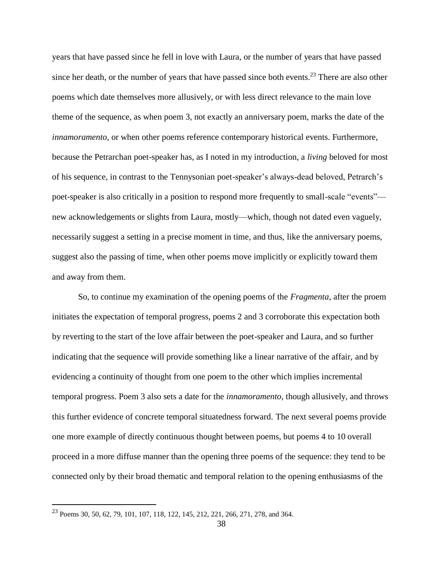years that have passed since he fell in love with Laura, or the number of years that have passed since her death, or the number of years that have passed since both events.<sup>23</sup> There are also other poems which date themselves more allusively, or with less direct relevance to the main love theme of the sequence, as when poem 3, not exactly an anniversary poem, marks the date of the *innamoramento*, or when other poems reference contemporary historical events. Furthermore, because the Petrarchan poet-speaker has, as I noted in my introduction, a *living* beloved for most of his sequence, in contrast to the Tennysonian poet-speaker's always-dead beloved, Petrarch's poet-speaker is also critically in a position to respond more frequently to small-scale "events" new acknowledgements or slights from Laura, mostly—which, though not dated even vaguely, necessarily suggest a setting in a precise moment in time, and thus, like the anniversary poems, suggest also the passing of time, when other poems move implicitly or explicitly toward them and away from them.

So, to continue my examination of the opening poems of the *Fragmenta*, after the proem initiates the expectation of temporal progress, poems 2 and 3 corroborate this expectation both by reverting to the start of the love affair between the poet-speaker and Laura, and so further indicating that the sequence will provide something like a linear narrative of the affair, and by evidencing a continuity of thought from one poem to the other which implies incremental temporal progress. Poem 3 also sets a date for the *innamoramento*, though allusively, and throws this further evidence of concrete temporal situatedness forward. The next several poems provide one more example of directly continuous thought between poems, but poems 4 to 10 overall proceed in a more diffuse manner than the opening three poems of the sequence: they tend to be connected only by their broad thematic and temporal relation to the opening enthusiasms of the

<sup>23</sup> Poems 30, 50, 62, 79, 101, 107, 118, 122, 145, 212, 221, 266, 271, 278, and 364.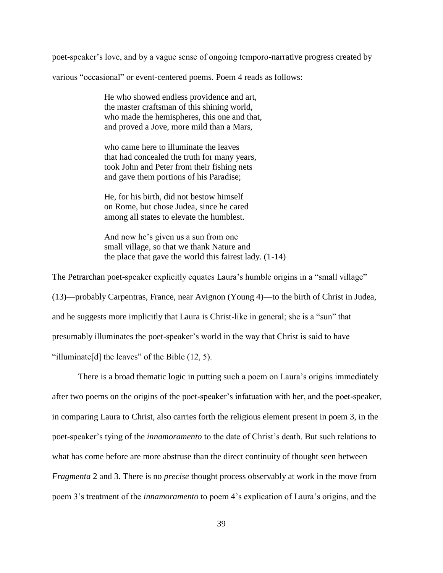poet-speaker's love, and by a vague sense of ongoing temporo-narrative progress created by

various "occasional" or event-centered poems. Poem 4 reads as follows:

He who showed endless providence and art, the master craftsman of this shining world, who made the hemispheres, this one and that, and proved a Jove, more mild than a Mars,

who came here to illuminate the leaves that had concealed the truth for many years, took John and Peter from their fishing nets and gave them portions of his Paradise;

He, for his birth, did not bestow himself on Rome, but chose Judea, since he cared among all states to elevate the humblest.

And now he's given us a sun from one small village, so that we thank Nature and the place that gave the world this fairest lady. (1-14)

The Petrarchan poet-speaker explicitly equates Laura's humble origins in a "small village" (13)—probably Carpentras, France, near Avignon (Young 4)—to the birth of Christ in Judea, and he suggests more implicitly that Laura is Christ-like in general; she is a "sun" that

presumably illuminates the poet-speaker's world in the way that Christ is said to have

"illuminate [d] the leaves" of the Bible  $(12, 5)$ .

There is a broad thematic logic in putting such a poem on Laura's origins immediately after two poems on the origins of the poet-speaker's infatuation with her, and the poet-speaker, in comparing Laura to Christ, also carries forth the religious element present in poem 3, in the poet-speaker's tying of the *innamoramento* to the date of Christ's death. But such relations to what has come before are more abstruse than the direct continuity of thought seen between *Fragmenta* 2 and 3. There is no *precise* thought process observably at work in the move from poem 3's treatment of the *innamoramento* to poem 4's explication of Laura's origins, and the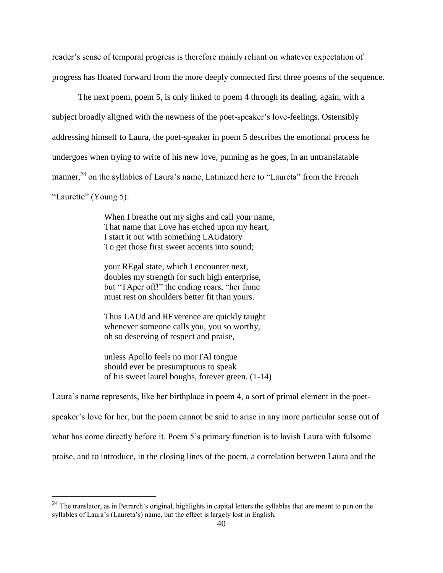reader's sense of temporal progress is therefore mainly reliant on whatever expectation of progress has floated forward from the more deeply connected first three poems of the sequence.

The next poem, poem 5, is only linked to poem 4 through its dealing, again, with a subject broadly aligned with the newness of the poet-speaker's love-feelings. Ostensibly addressing himself to Laura, the poet-speaker in poem 5 describes the emotional process he undergoes when trying to write of his new love, punning as he goes, in an untranslatable manner,<sup>24</sup> on the syllables of Laura's name, Latinized here to "Laureta" from the French "Laurette" (Young 5):

> When I breathe out my sighs and call your name, That name that Love has etched upon my heart, I start it out with something LAUdatory To get those first sweet accents into sound;

your REgal state, which I encounter next, doubles my strength for such high enterprise, but "TAper off!" the ending roars, "her fame must rest on shoulders better fit than yours.

Thus LAUd and REverence are quickly taught whenever someone calls you, you so worthy, oh so deserving of respect and praise,

unless Apollo feels no morTAl tongue should ever be presumptuous to speak of his sweet laurel boughs, forever green. (1-14)

 $\overline{a}$ 

Laura's name represents, like her birthplace in poem 4, a sort of primal element in the poet-

speaker's love for her, but the poem cannot be said to arise in any more particular sense out of

what has come directly before it. Poem 5's primary function is to lavish Laura with fulsome

praise, and to introduce, in the closing lines of the poem, a correlation between Laura and the

 $^{24}$  The translator, as in Petrarch's original, highlights in capital letters the syllables that are meant to pun on the syllables of Laura's (Laureta's) name, but the effect is largely lost in English.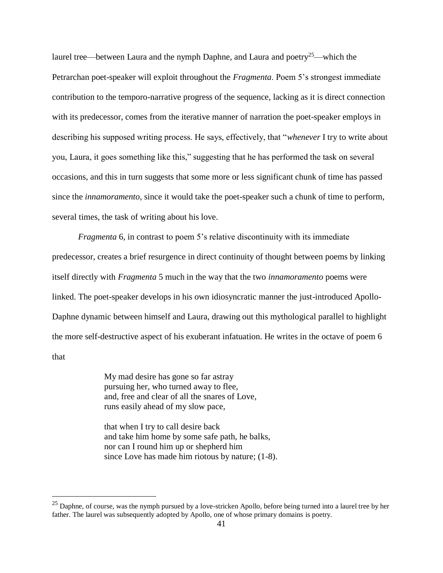laurel tree—between Laura and the nymph Daphne, and Laura and poetry<sup>25</sup>—which the Petrarchan poet-speaker will exploit throughout the *Fragmenta*. Poem 5's strongest immediate contribution to the temporo-narrative progress of the sequence, lacking as it is direct connection with its predecessor, comes from the iterative manner of narration the poet-speaker employs in describing his supposed writing process. He says, effectively, that "*whenever* I try to write about you, Laura, it goes something like this," suggesting that he has performed the task on several occasions, and this in turn suggests that some more or less significant chunk of time has passed since the *innamoramento*, since it would take the poet-speaker such a chunk of time to perform, several times, the task of writing about his love.

*Fragmenta* 6, in contrast to poem 5's relative discontinuity with its immediate predecessor, creates a brief resurgence in direct continuity of thought between poems by linking itself directly with *Fragmenta* 5 much in the way that the two *innamoramento* poems were linked. The poet-speaker develops in his own idiosyncratic manner the just-introduced Apollo-Daphne dynamic between himself and Laura, drawing out this mythological parallel to highlight the more self-destructive aspect of his exuberant infatuation. He writes in the octave of poem 6 that

> My mad desire has gone so far astray pursuing her, who turned away to flee, and, free and clear of all the snares of Love, runs easily ahead of my slow pace,

that when I try to call desire back and take him home by some safe path, he balks, nor can I round him up or shepherd him since Love has made him riotous by nature; (1-8).

 $25$  Daphne, of course, was the nymph pursued by a love-stricken Apollo, before being turned into a laurel tree by her father. The laurel was subsequently adopted by Apollo, one of whose primary domains is poetry.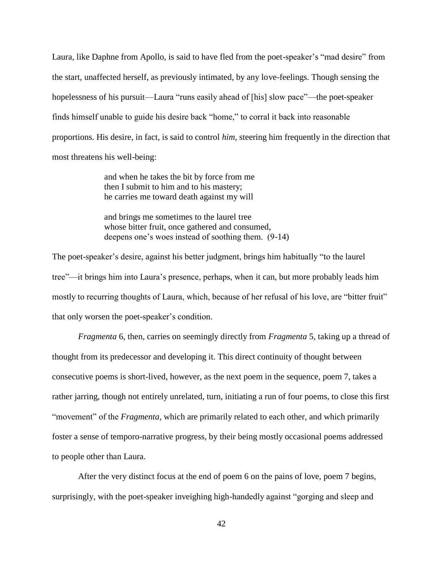Laura, like Daphne from Apollo, is said to have fled from the poet-speaker's "mad desire" from the start, unaffected herself, as previously intimated, by any love-feelings. Though sensing the hopelessness of his pursuit—Laura "runs easily ahead of [his] slow pace"—the poet-speaker finds himself unable to guide his desire back "home," to corral it back into reasonable proportions. His desire, in fact, is said to control *him*, steering him frequently in the direction that most threatens his well-being:

> and when he takes the bit by force from me then I submit to him and to his mastery; he carries me toward death against my will

and brings me sometimes to the laurel tree whose bitter fruit, once gathered and consumed, deepens one's woes instead of soothing them. (9-14)

The poet-speaker's desire, against his better judgment, brings him habitually "to the laurel tree"—it brings him into Laura's presence, perhaps, when it can, but more probably leads him mostly to recurring thoughts of Laura, which, because of her refusal of his love, are "bitter fruit" that only worsen the poet-speaker's condition.

*Fragmenta* 6, then, carries on seemingly directly from *Fragmenta* 5, taking up a thread of thought from its predecessor and developing it. This direct continuity of thought between consecutive poems is short-lived, however, as the next poem in the sequence, poem 7, takes a rather jarring, though not entirely unrelated, turn, initiating a run of four poems, to close this first "movement" of the *Fragmenta*, which are primarily related to each other, and which primarily foster a sense of temporo-narrative progress, by their being mostly occasional poems addressed to people other than Laura.

After the very distinct focus at the end of poem 6 on the pains of love, poem 7 begins, surprisingly, with the poet-speaker inveighing high-handedly against "gorging and sleep and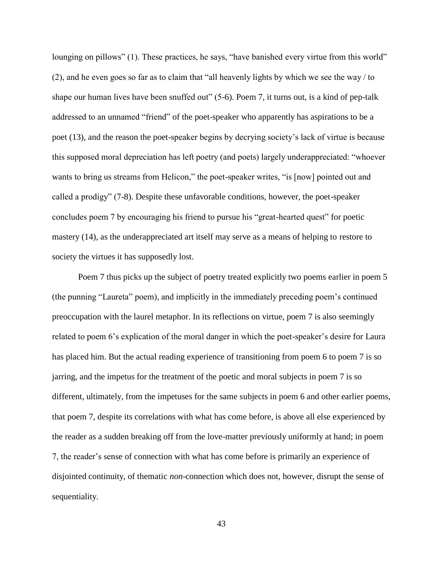lounging on pillows" (1). These practices, he says, "have banished every virtue from this world" (2), and he even goes so far as to claim that "all heavenly lights by which we see the way / to shape our human lives have been snuffed out" (5-6). Poem 7, it turns out, is a kind of pep-talk addressed to an unnamed "friend" of the poet-speaker who apparently has aspirations to be a poet (13), and the reason the poet-speaker begins by decrying society's lack of virtue is because this supposed moral depreciation has left poetry (and poets) largely underappreciated: "whoever wants to bring us streams from Helicon," the poet-speaker writes, "is [now] pointed out and called a prodigy" (7-8). Despite these unfavorable conditions, however, the poet-speaker concludes poem 7 by encouraging his friend to pursue his "great-hearted quest" for poetic mastery (14), as the underappreciated art itself may serve as a means of helping to restore to society the virtues it has supposedly lost.

Poem 7 thus picks up the subject of poetry treated explicitly two poems earlier in poem 5 (the punning "Laureta" poem), and implicitly in the immediately preceding poem's continued preoccupation with the laurel metaphor. In its reflections on virtue, poem 7 is also seemingly related to poem 6's explication of the moral danger in which the poet-speaker's desire for Laura has placed him. But the actual reading experience of transitioning from poem 6 to poem 7 is so jarring, and the impetus for the treatment of the poetic and moral subjects in poem 7 is so different, ultimately, from the impetuses for the same subjects in poem 6 and other earlier poems, that poem 7, despite its correlations with what has come before, is above all else experienced by the reader as a sudden breaking off from the love-matter previously uniformly at hand; in poem 7, the reader's sense of connection with what has come before is primarily an experience of disjointed continuity, of thematic *non*-connection which does not, however, disrupt the sense of sequentiality.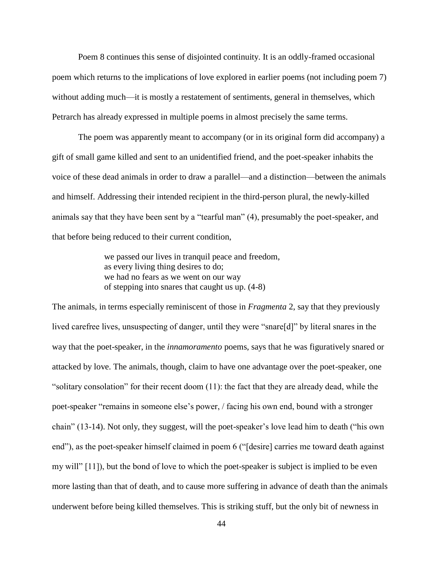Poem 8 continues this sense of disjointed continuity. It is an oddly-framed occasional poem which returns to the implications of love explored in earlier poems (not including poem 7) without adding much—it is mostly a restatement of sentiments, general in themselves, which Petrarch has already expressed in multiple poems in almost precisely the same terms.

The poem was apparently meant to accompany (or in its original form did accompany) a gift of small game killed and sent to an unidentified friend, and the poet-speaker inhabits the voice of these dead animals in order to draw a parallel—and a distinction—between the animals and himself. Addressing their intended recipient in the third-person plural, the newly-killed animals say that they have been sent by a "tearful man" (4), presumably the poet-speaker, and that before being reduced to their current condition,

> we passed our lives in tranquil peace and freedom, as every living thing desires to do; we had no fears as we went on our way of stepping into snares that caught us up. (4-8)

The animals, in terms especially reminiscent of those in *Fragmenta* 2, say that they previously lived carefree lives, unsuspecting of danger, until they were "snare[d]" by literal snares in the way that the poet-speaker, in the *innamoramento* poems, says that he was figuratively snared or attacked by love. The animals, though, claim to have one advantage over the poet-speaker, one "solitary consolation" for their recent doom (11): the fact that they are already dead, while the poet-speaker "remains in someone else's power, / facing his own end, bound with a stronger chain" (13-14). Not only, they suggest, will the poet-speaker's love lead him to death ("his own end"), as the poet-speaker himself claimed in poem 6 ("[desire] carries me toward death against my will" [11]), but the bond of love to which the poet-speaker is subject is implied to be even more lasting than that of death, and to cause more suffering in advance of death than the animals underwent before being killed themselves. This is striking stuff, but the only bit of newness in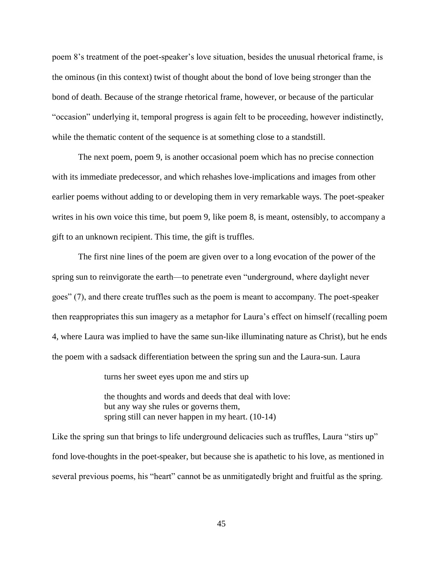poem 8's treatment of the poet-speaker's love situation, besides the unusual rhetorical frame, is the ominous (in this context) twist of thought about the bond of love being stronger than the bond of death. Because of the strange rhetorical frame, however, or because of the particular "occasion" underlying it, temporal progress is again felt to be proceeding, however indistinctly, while the thematic content of the sequence is at something close to a standstill.

The next poem, poem 9, is another occasional poem which has no precise connection with its immediate predecessor, and which rehashes love-implications and images from other earlier poems without adding to or developing them in very remarkable ways. The poet-speaker writes in his own voice this time, but poem 9, like poem 8, is meant, ostensibly, to accompany a gift to an unknown recipient. This time, the gift is truffles.

The first nine lines of the poem are given over to a long evocation of the power of the spring sun to reinvigorate the earth—to penetrate even "underground, where daylight never goes" (7), and there create truffles such as the poem is meant to accompany. The poet-speaker then reappropriates this sun imagery as a metaphor for Laura's effect on himself (recalling poem 4, where Laura was implied to have the same sun-like illuminating nature as Christ), but he ends the poem with a sadsack differentiation between the spring sun and the Laura-sun. Laura

turns her sweet eyes upon me and stirs up

the thoughts and words and deeds that deal with love: but any way she rules or governs them, spring still can never happen in my heart. (10-14)

Like the spring sun that brings to life underground delicacies such as truffles, Laura "stirs up" fond love-thoughts in the poet-speaker, but because she is apathetic to his love, as mentioned in several previous poems, his "heart" cannot be as unmitigatedly bright and fruitful as the spring.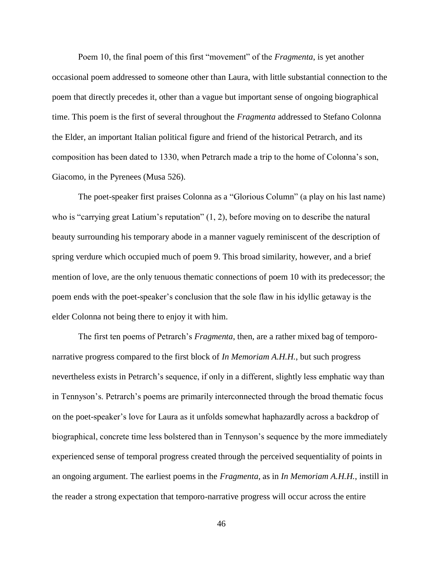Poem 10, the final poem of this first "movement" of the *Fragmenta*, is yet another occasional poem addressed to someone other than Laura, with little substantial connection to the poem that directly precedes it, other than a vague but important sense of ongoing biographical time. This poem is the first of several throughout the *Fragmenta* addressed to Stefano Colonna the Elder, an important Italian political figure and friend of the historical Petrarch, and its composition has been dated to 1330, when Petrarch made a trip to the home of Colonna's son, Giacomo, in the Pyrenees (Musa 526).

The poet-speaker first praises Colonna as a "Glorious Column" (a play on his last name) who is "carrying great Latium's reputation"  $(1, 2)$ , before moving on to describe the natural beauty surrounding his temporary abode in a manner vaguely reminiscent of the description of spring verdure which occupied much of poem 9. This broad similarity, however, and a brief mention of love, are the only tenuous thematic connections of poem 10 with its predecessor; the poem ends with the poet-speaker's conclusion that the sole flaw in his idyllic getaway is the elder Colonna not being there to enjoy it with him.

The first ten poems of Petrarch's *Fragmenta*, then, are a rather mixed bag of temporonarrative progress compared to the first block of *In Memoriam A.H.H.*, but such progress nevertheless exists in Petrarch's sequence, if only in a different, slightly less emphatic way than in Tennyson's. Petrarch's poems are primarily interconnected through the broad thematic focus on the poet-speaker's love for Laura as it unfolds somewhat haphazardly across a backdrop of biographical, concrete time less bolstered than in Tennyson's sequence by the more immediately experienced sense of temporal progress created through the perceived sequentiality of points in an ongoing argument. The earliest poems in the *Fragmenta*, as in *In Memoriam A.H.H.*, instill in the reader a strong expectation that temporo-narrative progress will occur across the entire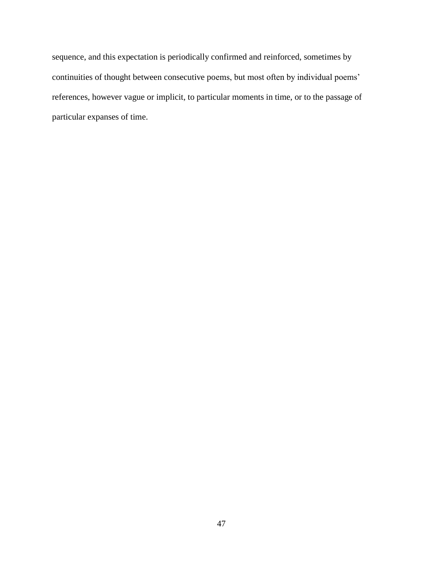sequence, and this expectation is periodically confirmed and reinforced, sometimes by continuities of thought between consecutive poems, but most often by individual poems' references, however vague or implicit, to particular moments in time, or to the passage of particular expanses of time.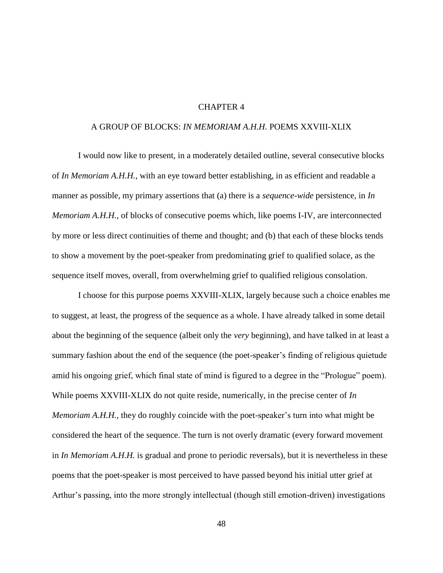### CHAPTER 4

### A GROUP OF BLOCKS: *IN MEMORIAM A.H.H.* POEMS XXVIII-XLIX

I would now like to present, in a moderately detailed outline, several consecutive blocks of *In Memoriam A.H.H.*, with an eye toward better establishing, in as efficient and readable a manner as possible, my primary assertions that (a) there is a *sequence-wide* persistence, in *In Memoriam A.H.H.*, of blocks of consecutive poems which, like poems I-IV, are interconnected by more or less direct continuities of theme and thought; and (b) that each of these blocks tends to show a movement by the poet-speaker from predominating grief to qualified solace, as the sequence itself moves, overall, from overwhelming grief to qualified religious consolation.

I choose for this purpose poems XXVIII-XLIX, largely because such a choice enables me to suggest, at least, the progress of the sequence as a whole. I have already talked in some detail about the beginning of the sequence (albeit only the *very* beginning), and have talked in at least a summary fashion about the end of the sequence (the poet-speaker's finding of religious quietude amid his ongoing grief, which final state of mind is figured to a degree in the "Prologue" poem). While poems XXVIII-XLIX do not quite reside, numerically, in the precise center of *In Memoriam A.H.H.*, they do roughly coincide with the poet-speaker's turn into what might be considered the heart of the sequence. The turn is not overly dramatic (every forward movement in *In Memoriam A.H.H.* is gradual and prone to periodic reversals), but it is nevertheless in these poems that the poet-speaker is most perceived to have passed beyond his initial utter grief at Arthur's passing, into the more strongly intellectual (though still emotion-driven) investigations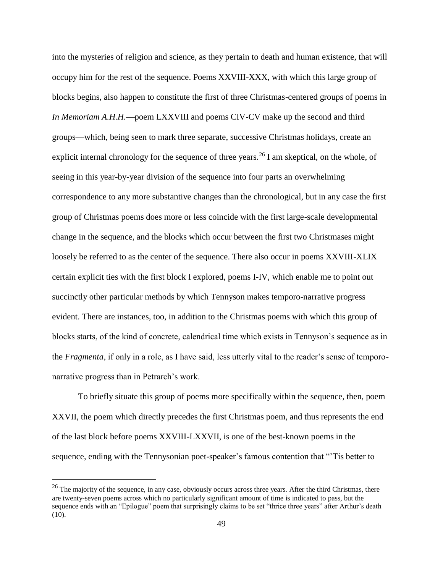into the mysteries of religion and science, as they pertain to death and human existence, that will occupy him for the rest of the sequence. Poems XXVIII-XXX, with which this large group of blocks begins, also happen to constitute the first of three Christmas-centered groups of poems in *In Memoriam A.H.H.*—poem LXXVIII and poems CIV-CV make up the second and third groups—which, being seen to mark three separate, successive Christmas holidays, create an explicit internal chronology for the sequence of three years.<sup>26</sup> I am skeptical, on the whole, of seeing in this year-by-year division of the sequence into four parts an overwhelming correspondence to any more substantive changes than the chronological, but in any case the first group of Christmas poems does more or less coincide with the first large-scale developmental change in the sequence, and the blocks which occur between the first two Christmases might loosely be referred to as the center of the sequence. There also occur in poems XXVIII-XLIX certain explicit ties with the first block I explored, poems I-IV, which enable me to point out succinctly other particular methods by which Tennyson makes temporo-narrative progress evident. There are instances, too, in addition to the Christmas poems with which this group of blocks starts, of the kind of concrete, calendrical time which exists in Tennyson's sequence as in the *Fragmenta*, if only in a role, as I have said, less utterly vital to the reader's sense of temporonarrative progress than in Petrarch's work.

To briefly situate this group of poems more specifically within the sequence, then, poem XXVII, the poem which directly precedes the first Christmas poem, and thus represents the end of the last block before poems XXVIII-LXXVII, is one of the best-known poems in the sequence, ending with the Tennysonian poet-speaker's famous contention that "'Tis better to

 $26$  The majority of the sequence, in any case, obviously occurs across three years. After the third Christmas, there are twenty-seven poems across which no particularly significant amount of time is indicated to pass, but the sequence ends with an "Epilogue" poem that surprisingly claims to be set "thrice three years" after Arthur's death (10).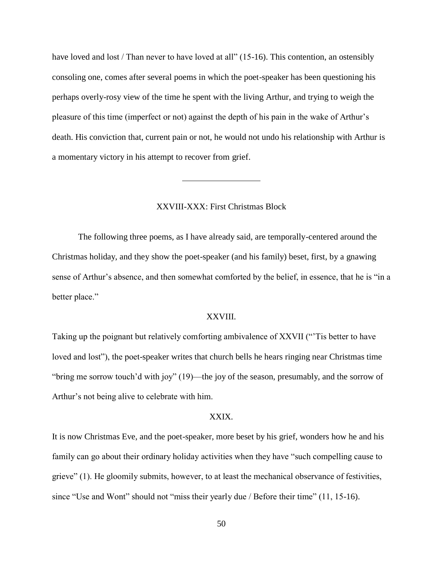have loved and lost / Than never to have loved at all" (15-16). This contention, an ostensibly consoling one, comes after several poems in which the poet-speaker has been questioning his perhaps overly-rosy view of the time he spent with the living Arthur, and trying to weigh the pleasure of this time (imperfect or not) against the depth of his pain in the wake of Arthur's death. His conviction that, current pain or not, he would not undo his relationship with Arthur is a momentary victory in his attempt to recover from grief.

# XXVIII-XXX: First Christmas Block

The following three poems, as I have already said, are temporally-centered around the Christmas holiday, and they show the poet-speaker (and his family) beset, first, by a gnawing sense of Arthur's absence, and then somewhat comforted by the belief, in essence, that he is "in a better place."

### XXVIII.

Taking up the poignant but relatively comforting ambivalence of XXVII ("'Tis better to have loved and lost"), the poet-speaker writes that church bells he hears ringing near Christmas time "bring me sorrow touch'd with joy" (19)—the joy of the season, presumably, and the sorrow of Arthur's not being alive to celebrate with him.

#### XXIX.

It is now Christmas Eve, and the poet-speaker, more beset by his grief, wonders how he and his family can go about their ordinary holiday activities when they have "such compelling cause to grieve" (1). He gloomily submits, however, to at least the mechanical observance of festivities, since "Use and Wont" should not "miss their yearly due / Before their time" (11, 15-16).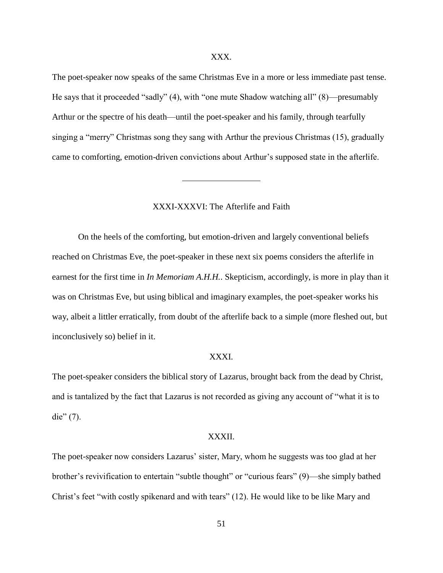### XXX.

The poet-speaker now speaks of the same Christmas Eve in a more or less immediate past tense. He says that it proceeded "sadly" (4), with "one mute Shadow watching all" (8)—presumably Arthur or the spectre of his death—until the poet-speaker and his family, through tearfully singing a "merry" Christmas song they sang with Arthur the previous Christmas (15), gradually came to comforting, emotion-driven convictions about Arthur's supposed state in the afterlife.

### XXXI-XXXVI: The Afterlife and Faith

On the heels of the comforting, but emotion-driven and largely conventional beliefs reached on Christmas Eve, the poet-speaker in these next six poems considers the afterlife in earnest for the first time in *In Memoriam A.H.H.*. Skepticism, accordingly, is more in play than it was on Christmas Eve, but using biblical and imaginary examples, the poet-speaker works his way, albeit a littler erratically, from doubt of the afterlife back to a simple (more fleshed out, but inconclusively so) belief in it.

# XXXI.

The poet-speaker considers the biblical story of Lazarus, brought back from the dead by Christ, and is tantalized by the fact that Lazarus is not recorded as giving any account of "what it is to die"  $(7)$ .

#### XXXII.

The poet-speaker now considers Lazarus' sister, Mary, whom he suggests was too glad at her brother's revivification to entertain "subtle thought" or "curious fears" (9)—she simply bathed Christ's feet "with costly spikenard and with tears" (12). He would like to be like Mary and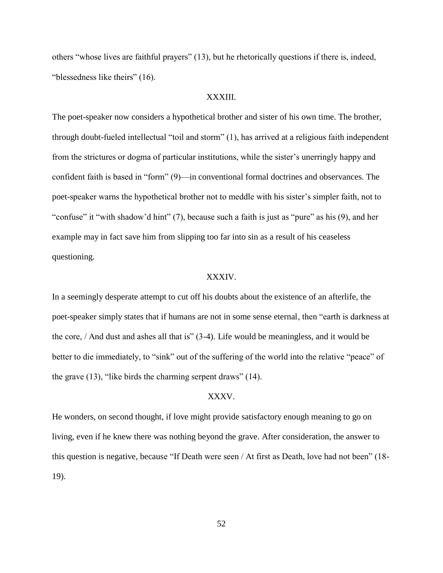others "whose lives are faithful prayers" (13), but he rhetorically questions if there is, indeed, "blessedness like theirs" (16).

# XXXIII.

The poet-speaker now considers a hypothetical brother and sister of his own time. The brother, through doubt-fueled intellectual "toil and storm" (1), has arrived at a religious faith independent from the strictures or dogma of particular institutions, while the sister's unerringly happy and confident faith is based in "form" (9)—in conventional formal doctrines and observances. The poet-speaker warns the hypothetical brother not to meddle with his sister's simpler faith, not to "confuse" it "with shadow'd hint" (7), because such a faith is just as "pure" as his (9), and her example may in fact save him from slipping too far into sin as a result of his ceaseless questioning.

# XXXIV.

In a seemingly desperate attempt to cut off his doubts about the existence of an afterlife, the poet-speaker simply states that if humans are not in some sense eternal, then "earth is darkness at the core, / And dust and ashes all that is" (3-4). Life would be meaningless, and it would be better to die immediately, to "sink" out of the suffering of the world into the relative "peace" of the grave (13), "like birds the charming serpent draws" (14).

### XXXV.

He wonders, on second thought, if love might provide satisfactory enough meaning to go on living, even if he knew there was nothing beyond the grave. After consideration, the answer to this question is negative, because "If Death were seen / At first as Death, love had not been" (18- 19).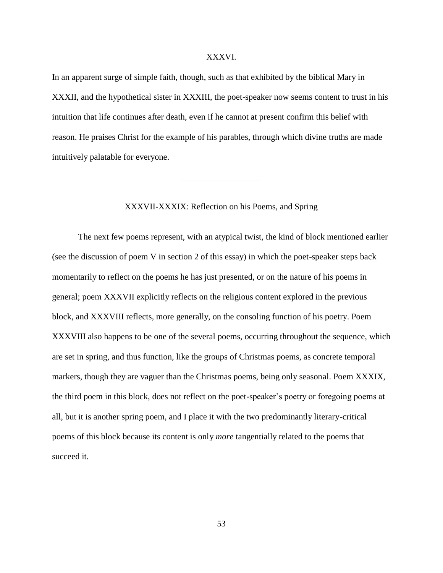# XXXVI.

In an apparent surge of simple faith, though, such as that exhibited by the biblical Mary in XXXII, and the hypothetical sister in XXXIII, the poet-speaker now seems content to trust in his intuition that life continues after death, even if he cannot at present confirm this belief with reason. He praises Christ for the example of his parables, through which divine truths are made intuitively palatable for everyone.

### XXXVII-XXXIX: Reflection on his Poems, and Spring

The next few poems represent, with an atypical twist, the kind of block mentioned earlier (see the discussion of poem V in section 2 of this essay) in which the poet-speaker steps back momentarily to reflect on the poems he has just presented, or on the nature of his poems in general; poem XXXVII explicitly reflects on the religious content explored in the previous block, and XXXVIII reflects, more generally, on the consoling function of his poetry. Poem XXXVIII also happens to be one of the several poems, occurring throughout the sequence, which are set in spring, and thus function, like the groups of Christmas poems, as concrete temporal markers, though they are vaguer than the Christmas poems, being only seasonal. Poem XXXIX, the third poem in this block, does not reflect on the poet-speaker's poetry or foregoing poems at all, but it is another spring poem, and I place it with the two predominantly literary-critical poems of this block because its content is only *more* tangentially related to the poems that succeed it.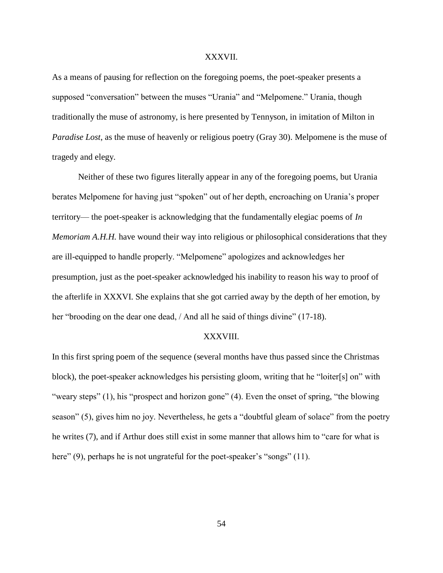#### XXXVII.

As a means of pausing for reflection on the foregoing poems, the poet-speaker presents a supposed "conversation" between the muses "Urania" and "Melpomene." Urania, though traditionally the muse of astronomy, is here presented by Tennyson, in imitation of Milton in *Paradise Lost*, as the muse of heavenly or religious poetry (Gray 30). Melpomene is the muse of tragedy and elegy.

Neither of these two figures literally appear in any of the foregoing poems, but Urania berates Melpomene for having just "spoken" out of her depth, encroaching on Urania's proper territory— the poet-speaker is acknowledging that the fundamentally elegiac poems of *In Memoriam A.H.H.* have wound their way into religious or philosophical considerations that they are ill-equipped to handle properly. "Melpomene" apologizes and acknowledges her presumption, just as the poet-speaker acknowledged his inability to reason his way to proof of the afterlife in XXXVI. She explains that she got carried away by the depth of her emotion, by her "brooding on the dear one dead, / And all he said of things divine" (17-18).

### XXXVIII.

In this first spring poem of the sequence (several months have thus passed since the Christmas block), the poet-speaker acknowledges his persisting gloom, writing that he "loiter[s] on" with "weary steps" (1), his "prospect and horizon gone" (4). Even the onset of spring, "the blowing season" (5), gives him no joy. Nevertheless, he gets a "doubtful gleam of solace" from the poetry he writes (7), and if Arthur does still exist in some manner that allows him to "care for what is here" (9), perhaps he is not ungrateful for the poet-speaker's "songs" (11).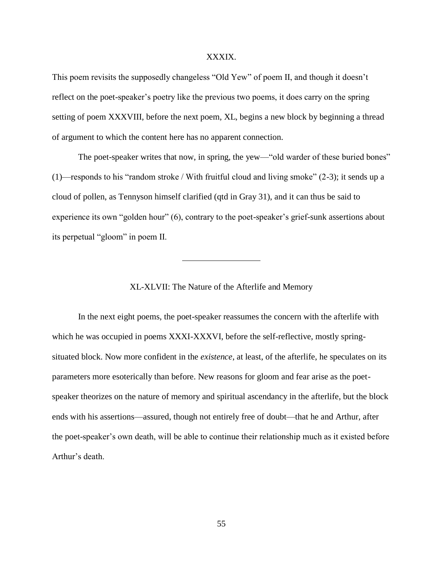# XXXIX.

This poem revisits the supposedly changeless "Old Yew" of poem II, and though it doesn't reflect on the poet-speaker's poetry like the previous two poems, it does carry on the spring setting of poem XXXVIII, before the next poem, XL, begins a new block by beginning a thread of argument to which the content here has no apparent connection.

The poet-speaker writes that now, in spring, the yew—"old warder of these buried bones" (1)—responds to his "random stroke / With fruitful cloud and living smoke" (2-3); it sends up a cloud of pollen, as Tennyson himself clarified (qtd in Gray 31), and it can thus be said to experience its own "golden hour" (6), contrary to the poet-speaker's grief-sunk assertions about its perpetual "gloom" in poem II.

# XL-XLVII: The Nature of the Afterlife and Memory

In the next eight poems, the poet-speaker reassumes the concern with the afterlife with which he was occupied in poems XXXI-XXXVI, before the self-reflective, mostly springsituated block. Now more confident in the *existence*, at least, of the afterlife, he speculates on its parameters more esoterically than before. New reasons for gloom and fear arise as the poetspeaker theorizes on the nature of memory and spiritual ascendancy in the afterlife, but the block ends with his assertions—assured, though not entirely free of doubt—that he and Arthur, after the poet-speaker's own death, will be able to continue their relationship much as it existed before Arthur's death.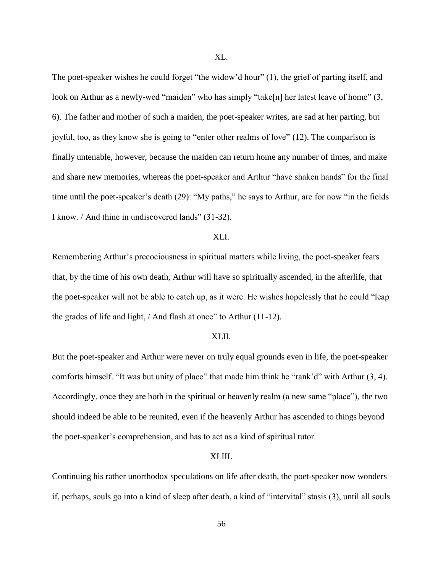The poet-speaker wishes he could forget "the widow'd hour" (1), the grief of parting itself, and look on Arthur as a newly-wed "maiden" who has simply "take[n] her latest leave of home" (3, 6). The father and mother of such a maiden, the poet-speaker writes, are sad at her parting, but joyful, too, as they know she is going to "enter other realms of love" (12). The comparison is finally untenable, however, because the maiden can return home any number of times, and make and share new memories, whereas the poet-speaker and Arthur "have shaken hands" for the final time until the poet-speaker's death (29): "My paths," he says to Arthur, are for now "in the fields I know. / And thine in undiscovered lands" (31-32).

# XLI.

Remembering Arthur's precociousness in spiritual matters while living, the poet-speaker fears that, by the time of his own death, Arthur will have so spiritually ascended, in the afterlife, that the poet-speaker will not be able to catch up, as it were. He wishes hopelessly that he could "leap the grades of life and light, / And flash at once" to Arthur (11-12).

#### XLII.

But the poet-speaker and Arthur were never on truly equal grounds even in life, the poet-speaker comforts himself. "It was but unity of place" that made him think he "rank'd" with Arthur (3, 4). Accordingly, once they are both in the spiritual or heavenly realm (a new same "place"), the two should indeed be able to be reunited, even if the heavenly Arthur has ascended to things beyond the poet-speaker's comprehension, and has to act as a kind of spiritual tutor.

#### XLIII.

Continuing his rather unorthodox speculations on life after death, the poet-speaker now wonders if, perhaps, souls go into a kind of sleep after death, a kind of "intervital" stasis (3), until all souls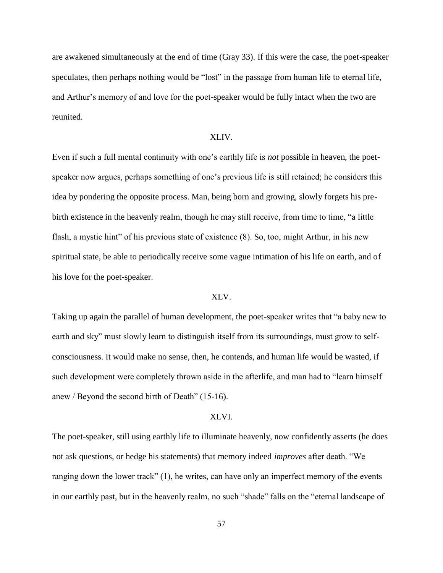are awakened simultaneously at the end of time (Gray 33). If this were the case, the poet-speaker speculates, then perhaps nothing would be "lost" in the passage from human life to eternal life, and Arthur's memory of and love for the poet-speaker would be fully intact when the two are reunited.

# XLIV.

Even if such a full mental continuity with one's earthly life is *not* possible in heaven, the poetspeaker now argues, perhaps something of one's previous life is still retained; he considers this idea by pondering the opposite process. Man, being born and growing, slowly forgets his prebirth existence in the heavenly realm, though he may still receive, from time to time, "a little flash, a mystic hint" of his previous state of existence (8). So, too, might Arthur, in his new spiritual state, be able to periodically receive some vague intimation of his life on earth, and of his love for the poet-speaker.

### XLV.

Taking up again the parallel of human development, the poet-speaker writes that "a baby new to earth and sky" must slowly learn to distinguish itself from its surroundings, must grow to selfconsciousness. It would make no sense, then, he contends, and human life would be wasted, if such development were completely thrown aside in the afterlife, and man had to "learn himself anew / Beyond the second birth of Death" (15-16).

#### XLVI.

The poet-speaker, still using earthly life to illuminate heavenly, now confidently asserts (he does not ask questions, or hedge his statements) that memory indeed *improves* after death. "We ranging down the lower track" (1), he writes, can have only an imperfect memory of the events in our earthly past, but in the heavenly realm, no such "shade" falls on the "eternal landscape of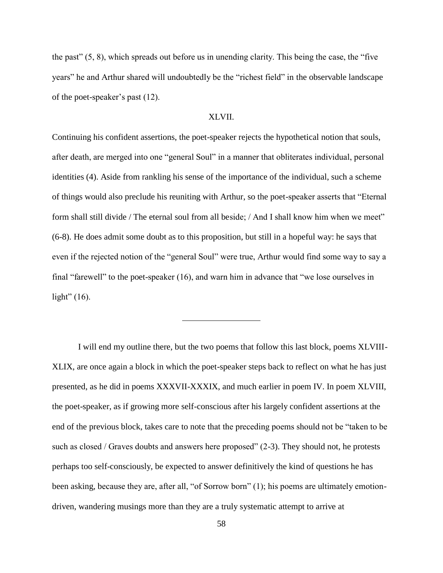the past" (5, 8), which spreads out before us in unending clarity. This being the case, the "five years" he and Arthur shared will undoubtedly be the "richest field" in the observable landscape of the poet-speaker's past (12).

# XLVII.

Continuing his confident assertions, the poet-speaker rejects the hypothetical notion that souls, after death, are merged into one "general Soul" in a manner that obliterates individual, personal identities (4). Aside from rankling his sense of the importance of the individual, such a scheme of things would also preclude his reuniting with Arthur, so the poet-speaker asserts that "Eternal form shall still divide / The eternal soul from all beside; / And I shall know him when we meet" (6-8). He does admit some doubt as to this proposition, but still in a hopeful way: he says that even if the rejected notion of the "general Soul" were true, Arthur would find some way to say a final "farewell" to the poet-speaker (16), and warn him in advance that "we lose ourselves in light"  $(16)$ .

I will end my outline there, but the two poems that follow this last block, poems XLVIII-XLIX, are once again a block in which the poet-speaker steps back to reflect on what he has just presented, as he did in poems XXXVII-XXXIX, and much earlier in poem IV. In poem XLVIII, the poet-speaker, as if growing more self-conscious after his largely confident assertions at the end of the previous block, takes care to note that the preceding poems should not be "taken to be such as closed / Graves doubts and answers here proposed" (2-3). They should not, he protests perhaps too self-consciously, be expected to answer definitively the kind of questions he has been asking, because they are, after all, "of Sorrow born" (1); his poems are ultimately emotiondriven, wandering musings more than they are a truly systematic attempt to arrive at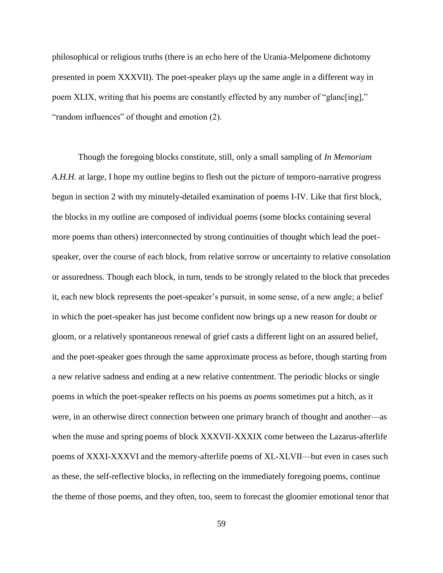philosophical or religious truths (there is an echo here of the Urania-Melpomene dichotomy presented in poem XXXVII). The poet-speaker plays up the same angle in a different way in poem XLIX, writing that his poems are constantly effected by any number of "glanc[ing]," "random influences" of thought and emotion (2).

Though the foregoing blocks constitute, still, only a small sampling of *In Memoriam A.H.H.* at large, I hope my outline begins to flesh out the picture of temporo-narrative progress begun in section 2 with my minutely-detailed examination of poems I-IV. Like that first block, the blocks in my outline are composed of individual poems (some blocks containing several more poems than others) interconnected by strong continuities of thought which lead the poetspeaker, over the course of each block, from relative sorrow or uncertainty to relative consolation or assuredness. Though each block, in turn, tends to be strongly related to the block that precedes it, each new block represents the poet-speaker's pursuit, in some sense, of a new angle; a belief in which the poet-speaker has just become confident now brings up a new reason for doubt or gloom, or a relatively spontaneous renewal of grief casts a different light on an assured belief, and the poet-speaker goes through the same approximate process as before, though starting from a new relative sadness and ending at a new relative contentment. The periodic blocks or single poems in which the poet-speaker reflects on his poems *as poems* sometimes put a hitch, as it were, in an otherwise direct connection between one primary branch of thought and another—as when the muse and spring poems of block XXXVII-XXXIX come between the Lazarus-afterlife poems of XXXI-XXXVI and the memory-afterlife poems of XL-XLVII—but even in cases such as these, the self-reflective blocks, in reflecting on the immediately foregoing poems, continue the theme of those poems, and they often, too, seem to forecast the gloomier emotional tenor that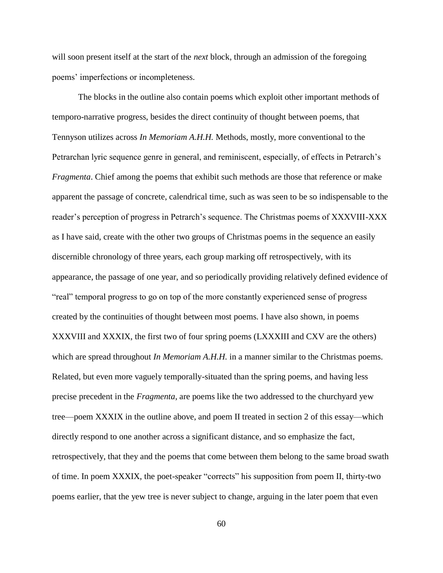will soon present itself at the start of the *next* block, through an admission of the foregoing poems' imperfections or incompleteness.

The blocks in the outline also contain poems which exploit other important methods of temporo-narrative progress, besides the direct continuity of thought between poems, that Tennyson utilizes across *In Memoriam A.H.H.* Methods, mostly, more conventional to the Petrarchan lyric sequence genre in general, and reminiscent, especially, of effects in Petrarch's *Fragmenta*. Chief among the poems that exhibit such methods are those that reference or make apparent the passage of concrete, calendrical time, such as was seen to be so indispensable to the reader's perception of progress in Petrarch's sequence. The Christmas poems of XXXVIII-XXX as I have said, create with the other two groups of Christmas poems in the sequence an easily discernible chronology of three years, each group marking off retrospectively, with its appearance, the passage of one year, and so periodically providing relatively defined evidence of "real" temporal progress to go on top of the more constantly experienced sense of progress created by the continuities of thought between most poems. I have also shown, in poems XXXVIII and XXXIX, the first two of four spring poems (LXXXIII and CXV are the others) which are spread throughout *In Memoriam A.H.H.* in a manner similar to the Christmas poems. Related, but even more vaguely temporally-situated than the spring poems, and having less precise precedent in the *Fragmenta*, are poems like the two addressed to the churchyard yew tree—poem XXXIX in the outline above, and poem II treated in section 2 of this essay—which directly respond to one another across a significant distance, and so emphasize the fact, retrospectively, that they and the poems that come between them belong to the same broad swath of time. In poem XXXIX, the poet-speaker "corrects" his supposition from poem II, thirty-two poems earlier, that the yew tree is never subject to change, arguing in the later poem that even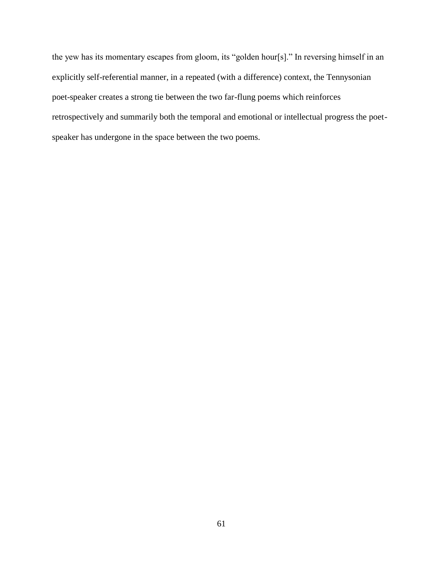the yew has its momentary escapes from gloom, its "golden hour[s]." In reversing himself in an explicitly self-referential manner, in a repeated (with a difference) context, the Tennysonian poet-speaker creates a strong tie between the two far-flung poems which reinforces retrospectively and summarily both the temporal and emotional or intellectual progress the poetspeaker has undergone in the space between the two poems.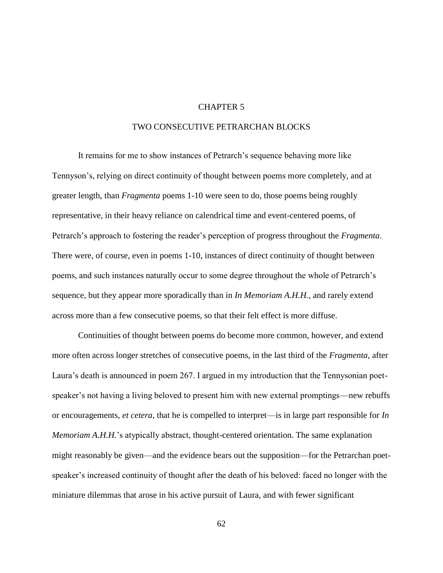# CHAPTER 5

# TWO CONSECUTIVE PETRARCHAN BLOCKS

It remains for me to show instances of Petrarch's sequence behaving more like Tennyson's, relying on direct continuity of thought between poems more completely, and at greater length, than *Fragmenta* poems 1-10 were seen to do, those poems being roughly representative, in their heavy reliance on calendrical time and event-centered poems, of Petrarch's approach to fostering the reader's perception of progress throughout the *Fragmenta*. There were, of course, even in poems 1-10, instances of direct continuity of thought between poems, and such instances naturally occur to some degree throughout the whole of Petrarch's sequence, but they appear more sporadically than in *In Memoriam A.H.H.*, and rarely extend across more than a few consecutive poems, so that their felt effect is more diffuse.

Continuities of thought between poems do become more common, however, and extend more often across longer stretches of consecutive poems, in the last third of the *Fragmenta*, after Laura's death is announced in poem 267. I argued in my introduction that the Tennysonian poetspeaker's not having a living beloved to present him with new external promptings—new rebuffs or encouragements, *et cetera*, that he is compelled to interpret—is in large part responsible for *In Memoriam A.H.H.*'s atypically abstract, thought-centered orientation. The same explanation might reasonably be given—and the evidence bears out the supposition—for the Petrarchan poetspeaker's increased continuity of thought after the death of his beloved: faced no longer with the miniature dilemmas that arose in his active pursuit of Laura, and with fewer significant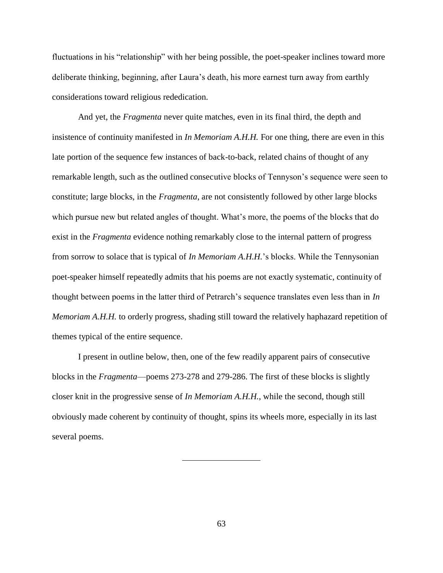fluctuations in his "relationship" with her being possible, the poet-speaker inclines toward more deliberate thinking, beginning, after Laura's death, his more earnest turn away from earthly considerations toward religious rededication.

And yet, the *Fragmenta* never quite matches, even in its final third, the depth and insistence of continuity manifested in *In Memoriam A.H.H.* For one thing, there are even in this late portion of the sequence few instances of back-to-back, related chains of thought of any remarkable length, such as the outlined consecutive blocks of Tennyson's sequence were seen to constitute; large blocks, in the *Fragmenta*, are not consistently followed by other large blocks which pursue new but related angles of thought. What's more, the poems of the blocks that do exist in the *Fragmenta* evidence nothing remarkably close to the internal pattern of progress from sorrow to solace that is typical of *In Memoriam A.H.H.*'s blocks. While the Tennysonian poet-speaker himself repeatedly admits that his poems are not exactly systematic, continuity of thought between poems in the latter third of Petrarch's sequence translates even less than in *In Memoriam A.H.H.* to orderly progress, shading still toward the relatively haphazard repetition of themes typical of the entire sequence.

I present in outline below, then, one of the few readily apparent pairs of consecutive blocks in the *Fragmenta*—poems 273-278 and 279-286. The first of these blocks is slightly closer knit in the progressive sense of *In Memoriam A.H.H.*, while the second, though still obviously made coherent by continuity of thought, spins its wheels more, especially in its last several poems.

63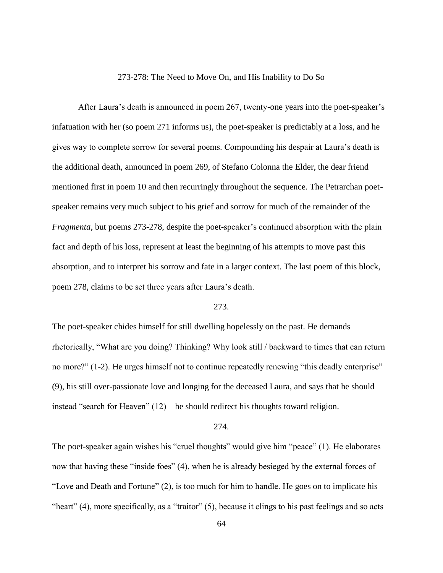#### 273-278: The Need to Move On, and His Inability to Do So

After Laura's death is announced in poem 267, twenty-one years into the poet-speaker's infatuation with her (so poem 271 informs us), the poet-speaker is predictably at a loss, and he gives way to complete sorrow for several poems. Compounding his despair at Laura's death is the additional death, announced in poem 269, of Stefano Colonna the Elder, the dear friend mentioned first in poem 10 and then recurringly throughout the sequence. The Petrarchan poetspeaker remains very much subject to his grief and sorrow for much of the remainder of the *Fragmenta*, but poems 273-278, despite the poet-speaker's continued absorption with the plain fact and depth of his loss, represent at least the beginning of his attempts to move past this absorption, and to interpret his sorrow and fate in a larger context. The last poem of this block, poem 278, claims to be set three years after Laura's death.

# 273.

The poet-speaker chides himself for still dwelling hopelessly on the past. He demands rhetorically, "What are you doing? Thinking? Why look still / backward to times that can return no more?" (1-2). He urges himself not to continue repeatedly renewing "this deadly enterprise" (9), his still over-passionate love and longing for the deceased Laura, and says that he should instead "search for Heaven" (12)—he should redirect his thoughts toward religion.

# 274.

The poet-speaker again wishes his "cruel thoughts" would give him "peace" (1). He elaborates now that having these "inside foes" (4), when he is already besieged by the external forces of "Love and Death and Fortune" (2), is too much for him to handle. He goes on to implicate his "heart" (4), more specifically, as a "traitor" (5), because it clings to his past feelings and so acts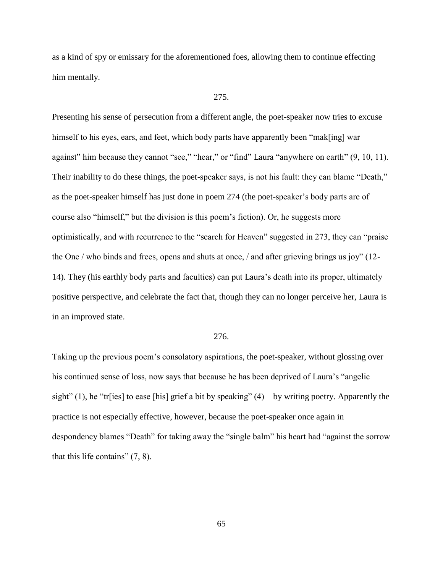as a kind of spy or emissary for the aforementioned foes, allowing them to continue effecting him mentally.

# 275.

Presenting his sense of persecution from a different angle, the poet-speaker now tries to excuse himself to his eyes, ears, and feet, which body parts have apparently been "mak[ing] war against" him because they cannot "see," "hear," or "find" Laura "anywhere on earth" (9, 10, 11). Their inability to do these things, the poet-speaker says, is not his fault: they can blame "Death," as the poet-speaker himself has just done in poem 274 (the poet-speaker's body parts are of course also "himself," but the division is this poem's fiction). Or, he suggests more optimistically, and with recurrence to the "search for Heaven" suggested in 273, they can "praise the One / who binds and frees, opens and shuts at once, / and after grieving brings us joy" (12- 14). They (his earthly body parts and faculties) can put Laura's death into its proper, ultimately positive perspective, and celebrate the fact that, though they can no longer perceive her, Laura is in an improved state.

### 276.

Taking up the previous poem's consolatory aspirations, the poet-speaker, without glossing over his continued sense of loss, now says that because he has been deprived of Laura's "angelic sight" (1), he "tr[ies] to ease [his] grief a bit by speaking" (4)—by writing poetry. Apparently the practice is not especially effective, however, because the poet-speaker once again in despondency blames "Death" for taking away the "single balm" his heart had "against the sorrow that this life contains" (7, 8).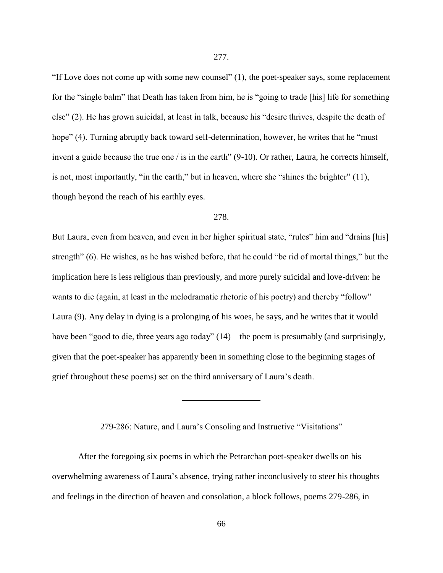"If Love does not come up with some new counsel" (1), the poet-speaker says, some replacement for the "single balm" that Death has taken from him, he is "going to trade [his] life for something else" (2). He has grown suicidal, at least in talk, because his "desire thrives, despite the death of hope" (4). Turning abruptly back toward self-determination, however, he writes that he "must" invent a guide because the true one / is in the earth" (9-10). Or rather, Laura, he corrects himself, is not, most importantly, "in the earth," but in heaven, where she "shines the brighter" (11), though beyond the reach of his earthly eyes.

## 278.

But Laura, even from heaven, and even in her higher spiritual state, "rules" him and "drains [his] strength" (6). He wishes, as he has wished before, that he could "be rid of mortal things," but the implication here is less religious than previously, and more purely suicidal and love-driven: he wants to die (again, at least in the melodramatic rhetoric of his poetry) and thereby "follow" Laura (9). Any delay in dying is a prolonging of his woes, he says, and he writes that it would have been "good to die, three years ago today" (14)—the poem is presumably (and surprisingly, given that the poet-speaker has apparently been in something close to the beginning stages of grief throughout these poems) set on the third anniversary of Laura's death.

279-286: Nature, and Laura's Consoling and Instructive "Visitations"

After the foregoing six poems in which the Petrarchan poet-speaker dwells on his overwhelming awareness of Laura's absence, trying rather inconclusively to steer his thoughts and feelings in the direction of heaven and consolation, a block follows, poems 279-286, in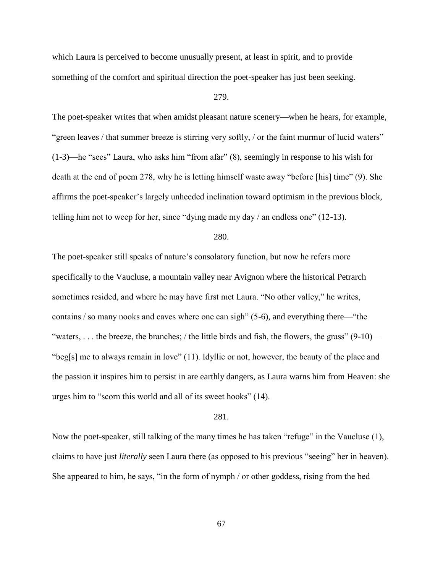which Laura is perceived to become unusually present, at least in spirit, and to provide something of the comfort and spiritual direction the poet-speaker has just been seeking.

# 279.

The poet-speaker writes that when amidst pleasant nature scenery—when he hears, for example, "green leaves / that summer breeze is stirring very softly, / or the faint murmur of lucid waters" (1-3)—he "sees" Laura, who asks him "from afar" (8), seemingly in response to his wish for death at the end of poem 278, why he is letting himself waste away "before [his] time" (9). She affirms the poet-speaker's largely unheeded inclination toward optimism in the previous block, telling him not to weep for her, since "dying made my day / an endless one" (12-13).

## 280.

The poet-speaker still speaks of nature's consolatory function, but now he refers more specifically to the Vaucluse, a mountain valley near Avignon where the historical Petrarch sometimes resided, and where he may have first met Laura. "No other valley," he writes, contains / so many nooks and caves where one can sigh" (5-6), and everything there—"the "waters, ... the breeze, the branches; / the little birds and fish, the flowers, the grass"  $(9-10)$ — "beg[s] me to always remain in love" (11). Idyllic or not, however, the beauty of the place and the passion it inspires him to persist in are earthly dangers, as Laura warns him from Heaven: she urges him to "scorn this world and all of its sweet hooks" (14).

#### 281.

Now the poet-speaker, still talking of the many times he has taken "refuge" in the Vaucluse (1), claims to have just *literally* seen Laura there (as opposed to his previous "seeing" her in heaven). She appeared to him, he says, "in the form of nymph / or other goddess, rising from the bed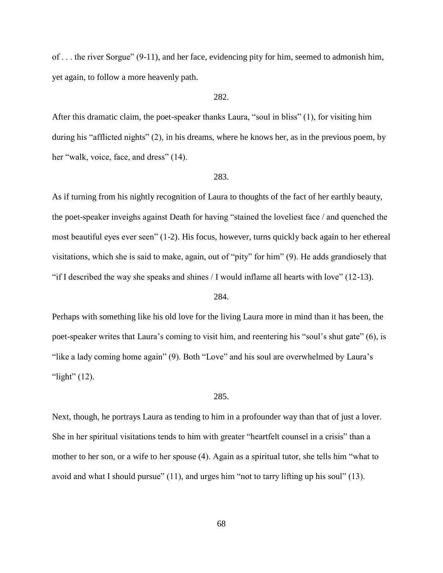of . . . the river Sorgue" (9-11), and her face, evidencing pity for him, seemed to admonish him, yet again, to follow a more heavenly path.

# 282.

After this dramatic claim, the poet-speaker thanks Laura, "soul in bliss" (1), for visiting him during his "afflicted nights" (2), in his dreams, where he knows her, as in the previous poem, by her "walk, voice, face, and dress" (14).

#### 283.

As if turning from his nightly recognition of Laura to thoughts of the fact of her earthly beauty, the poet-speaker inveighs against Death for having "stained the loveliest face / and quenched the most beautiful eyes ever seen" (1-2). His focus, however, turns quickly back again to her ethereal visitations, which she is said to make, again, out of "pity" for him" (9). He adds grandiosely that "if I described the way she speaks and shines  $/1$  would inflame all hearts with love" (12-13).

### 284.

Perhaps with something like his old love for the living Laura more in mind than it has been, the poet-speaker writes that Laura's coming to visit him, and reentering his "soul's shut gate" (6), is "like a lady coming home again" (9). Both "Love" and his soul are overwhelmed by Laura's "light"  $(12)$ .

#### 285.

Next, though, he portrays Laura as tending to him in a profounder way than that of just a lover. She in her spiritual visitations tends to him with greater "heartfelt counsel in a crisis" than a mother to her son, or a wife to her spouse (4). Again as a spiritual tutor, she tells him "what to avoid and what I should pursue" (11), and urges him "not to tarry lifting up his soul" (13).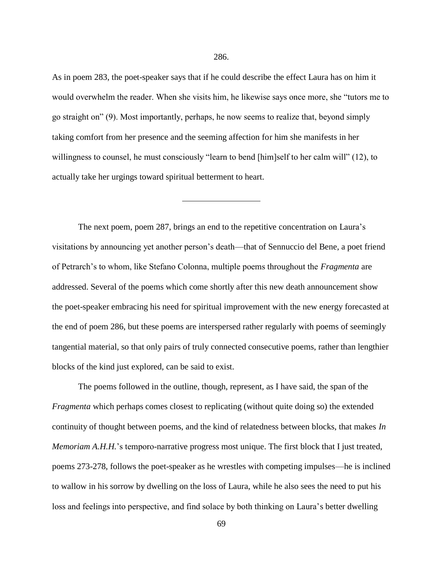As in poem 283, the poet-speaker says that if he could describe the effect Laura has on him it would overwhelm the reader. When she visits him, he likewise says once more, she "tutors me to go straight on" (9). Most importantly, perhaps, he now seems to realize that, beyond simply taking comfort from her presence and the seeming affection for him she manifests in her willingness to counsel, he must consciously "learn to bend [him]self to her calm will" (12), to actually take her urgings toward spiritual betterment to heart.

The next poem, poem 287, brings an end to the repetitive concentration on Laura's visitations by announcing yet another person's death—that of Sennuccio del Bene, a poet friend of Petrarch's to whom, like Stefano Colonna, multiple poems throughout the *Fragmenta* are addressed. Several of the poems which come shortly after this new death announcement show the poet-speaker embracing his need for spiritual improvement with the new energy forecasted at the end of poem 286, but these poems are interspersed rather regularly with poems of seemingly tangential material, so that only pairs of truly connected consecutive poems, rather than lengthier blocks of the kind just explored, can be said to exist.

The poems followed in the outline, though, represent, as I have said, the span of the *Fragmenta* which perhaps comes closest to replicating (without quite doing so) the extended continuity of thought between poems, and the kind of relatedness between blocks, that makes *In Memoriam A.H.H.*'s temporo-narrative progress most unique. The first block that I just treated, poems 273-278, follows the poet-speaker as he wrestles with competing impulses—he is inclined to wallow in his sorrow by dwelling on the loss of Laura, while he also sees the need to put his loss and feelings into perspective, and find solace by both thinking on Laura's better dwelling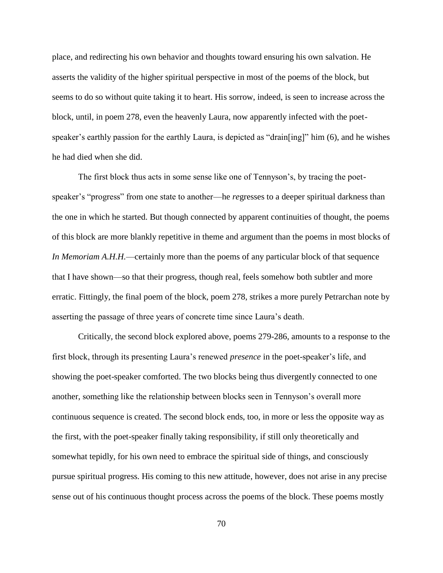place, and redirecting his own behavior and thoughts toward ensuring his own salvation. He asserts the validity of the higher spiritual perspective in most of the poems of the block, but seems to do so without quite taking it to heart. His sorrow, indeed, is seen to increase across the block, until, in poem 278, even the heavenly Laura, now apparently infected with the poetspeaker's earthly passion for the earthly Laura, is depicted as "drain[ing]" him (6), and he wishes he had died when she did.

The first block thus acts in some sense like one of Tennyson's, by tracing the poetspeaker's "progress" from one state to another—he *re*gresses to a deeper spiritual darkness than the one in which he started. But though connected by apparent continuities of thought, the poems of this block are more blankly repetitive in theme and argument than the poems in most blocks of *In Memoriam A.H.H.*—certainly more than the poems of any particular block of that sequence that I have shown—so that their progress, though real, feels somehow both subtler and more erratic. Fittingly, the final poem of the block, poem 278, strikes a more purely Petrarchan note by asserting the passage of three years of concrete time since Laura's death.

Critically, the second block explored above, poems 279-286, amounts to a response to the first block, through its presenting Laura's renewed *presence* in the poet-speaker's life, and showing the poet-speaker comforted. The two blocks being thus divergently connected to one another, something like the relationship between blocks seen in Tennyson's overall more continuous sequence is created. The second block ends, too, in more or less the opposite way as the first, with the poet-speaker finally taking responsibility, if still only theoretically and somewhat tepidly, for his own need to embrace the spiritual side of things, and consciously pursue spiritual progress. His coming to this new attitude, however, does not arise in any precise sense out of his continuous thought process across the poems of the block. These poems mostly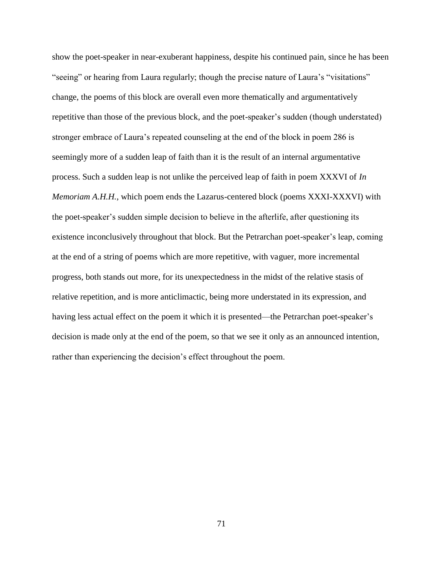show the poet-speaker in near-exuberant happiness, despite his continued pain, since he has been "seeing" or hearing from Laura regularly; though the precise nature of Laura's "visitations" change, the poems of this block are overall even more thematically and argumentatively repetitive than those of the previous block, and the poet-speaker's sudden (though understated) stronger embrace of Laura's repeated counseling at the end of the block in poem 286 is seemingly more of a sudden leap of faith than it is the result of an internal argumentative process. Such a sudden leap is not unlike the perceived leap of faith in poem XXXVI of *In Memoriam A.H.H.*, which poem ends the Lazarus-centered block (poems XXXI-XXXVI) with the poet-speaker's sudden simple decision to believe in the afterlife, after questioning its existence inconclusively throughout that block. But the Petrarchan poet-speaker's leap, coming at the end of a string of poems which are more repetitive, with vaguer, more incremental progress, both stands out more, for its unexpectedness in the midst of the relative stasis of relative repetition, and is more anticlimactic, being more understated in its expression, and having less actual effect on the poem it which it is presented—the Petrarchan poet-speaker's decision is made only at the end of the poem, so that we see it only as an announced intention, rather than experiencing the decision's effect throughout the poem.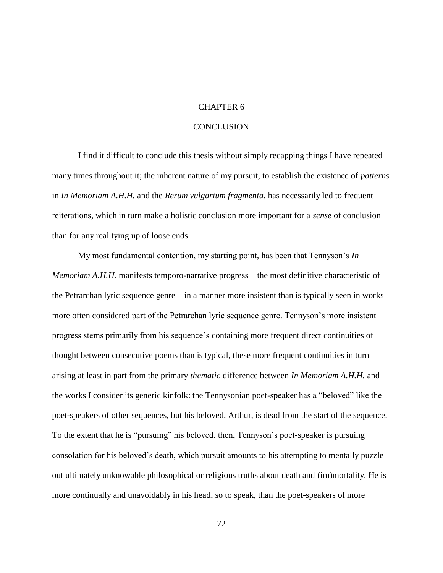### CHAPTER 6

### **CONCLUSION**

I find it difficult to conclude this thesis without simply recapping things I have repeated many times throughout it; the inherent nature of my pursuit, to establish the existence of *patterns* in *In Memoriam A.H.H.* and the *Rerum vulgarium fragmenta*, has necessarily led to frequent reiterations, which in turn make a holistic conclusion more important for a *sense* of conclusion than for any real tying up of loose ends.

My most fundamental contention, my starting point, has been that Tennyson's *In Memoriam A.H.H.* manifests temporo-narrative progress—the most definitive characteristic of the Petrarchan lyric sequence genre—in a manner more insistent than is typically seen in works more often considered part of the Petrarchan lyric sequence genre. Tennyson's more insistent progress stems primarily from his sequence's containing more frequent direct continuities of thought between consecutive poems than is typical, these more frequent continuities in turn arising at least in part from the primary *thematic* difference between *In Memoriam A.H.H.* and the works I consider its generic kinfolk: the Tennysonian poet-speaker has a "beloved" like the poet-speakers of other sequences, but his beloved, Arthur, is dead from the start of the sequence. To the extent that he is "pursuing" his beloved, then, Tennyson's poet-speaker is pursuing consolation for his beloved's death, which pursuit amounts to his attempting to mentally puzzle out ultimately unknowable philosophical or religious truths about death and (im)mortality. He is more continually and unavoidably in his head, so to speak, than the poet-speakers of more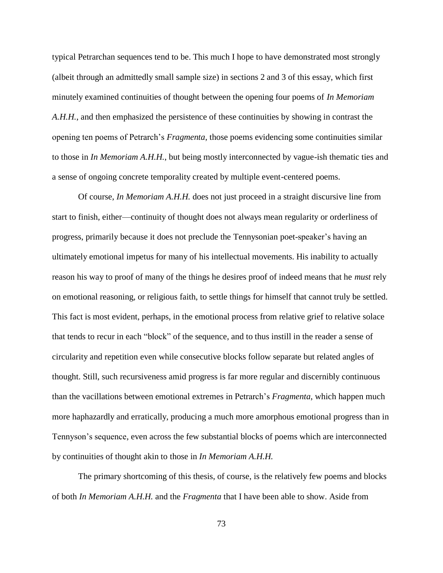typical Petrarchan sequences tend to be. This much I hope to have demonstrated most strongly (albeit through an admittedly small sample size) in sections 2 and 3 of this essay, which first minutely examined continuities of thought between the opening four poems of *In Memoriam A.H.H.*, and then emphasized the persistence of these continuities by showing in contrast the opening ten poems of Petrarch's *Fragmenta*, those poems evidencing some continuities similar to those in *In Memoriam A.H.H.*, but being mostly interconnected by vague-ish thematic ties and a sense of ongoing concrete temporality created by multiple event-centered poems.

Of course, *In Memoriam A.H.H.* does not just proceed in a straight discursive line from start to finish, either—continuity of thought does not always mean regularity or orderliness of progress, primarily because it does not preclude the Tennysonian poet-speaker's having an ultimately emotional impetus for many of his intellectual movements. His inability to actually reason his way to proof of many of the things he desires proof of indeed means that he *must* rely on emotional reasoning, or religious faith, to settle things for himself that cannot truly be settled. This fact is most evident, perhaps, in the emotional process from relative grief to relative solace that tends to recur in each "block" of the sequence, and to thus instill in the reader a sense of circularity and repetition even while consecutive blocks follow separate but related angles of thought. Still, such recursiveness amid progress is far more regular and discernibly continuous than the vacillations between emotional extremes in Petrarch's *Fragmenta*, which happen much more haphazardly and erratically, producing a much more amorphous emotional progress than in Tennyson's sequence, even across the few substantial blocks of poems which are interconnected by continuities of thought akin to those in *In Memoriam A.H.H.*

The primary shortcoming of this thesis, of course, is the relatively few poems and blocks of both *In Memoriam A.H.H.* and the *Fragmenta* that I have been able to show. Aside from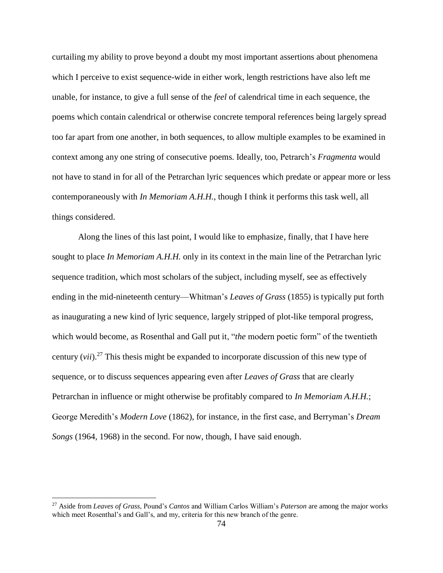curtailing my ability to prove beyond a doubt my most important assertions about phenomena which I perceive to exist sequence-wide in either work, length restrictions have also left me unable, for instance, to give a full sense of the *feel* of calendrical time in each sequence, the poems which contain calendrical or otherwise concrete temporal references being largely spread too far apart from one another, in both sequences, to allow multiple examples to be examined in context among any one string of consecutive poems. Ideally, too, Petrarch's *Fragmenta* would not have to stand in for all of the Petrarchan lyric sequences which predate or appear more or less contemporaneously with *In Memoriam A.H.H.*, though I think it performs this task well, all things considered.

Along the lines of this last point, I would like to emphasize, finally, that I have here sought to place *In Memoriam A.H.H.* only in its context in the main line of the Petrarchan lyric sequence tradition, which most scholars of the subject, including myself, see as effectively ending in the mid-nineteenth century—Whitman's *Leaves of Grass* (1855) is typically put forth as inaugurating a new kind of lyric sequence, largely stripped of plot-like temporal progress, which would become, as Rosenthal and Gall put it, "*the* modern poetic form" of the twentieth century (*vii*).<sup>27</sup> This thesis might be expanded to incorporate discussion of this new type of sequence, or to discuss sequences appearing even after *Leaves of Grass* that are clearly Petrarchan in influence or might otherwise be profitably compared to *In Memoriam A.H.H.*; George Meredith's *Modern Love* (1862), for instance, in the first case, and Berryman's *Dream Songs* (1964, 1968) in the second. For now, though, I have said enough.

 $\overline{a}$ 

<sup>27</sup> Aside from *Leaves of Grass*, Pound's *Cantos* and William Carlos William's *Paterson* are among the major works which meet Rosenthal's and Gall's, and my, criteria for this new branch of the genre.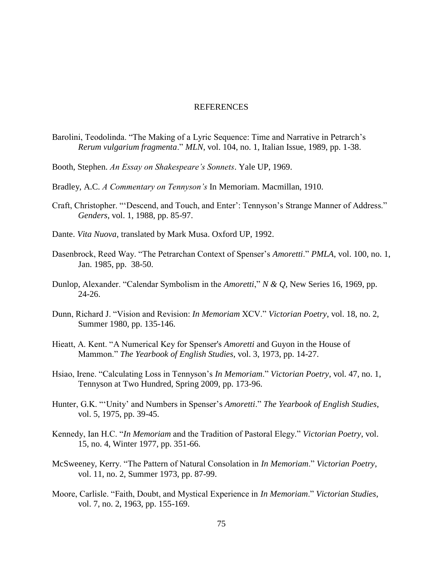#### REFERENCES

- Barolini, Teodolinda. "The Making of a Lyric Sequence: Time and Narrative in Petrarch's *Rerum vulgarium fragmenta*." *MLN*, vol. 104, no. 1, Italian Issue, 1989, pp. 1-38.
- Booth, Stephen. *An Essay on Shakespeare's Sonnets*. Yale UP, 1969.
- Bradley, A.C. *A Commentary on Tennyson's* In Memoriam. Macmillan, 1910.
- Craft, Christopher. "'Descend, and Touch, and Enter': Tennyson's Strange Manner of Address." *Genders*, vol. 1, 1988, pp. 85-97.
- Dante. *Vita Nuova*, translated by Mark Musa. Oxford UP, 1992.
- Dasenbrock, Reed Way. "The Petrarchan Context of Spenser's *Amoretti*." *PMLA*, vol. 100, no. 1, Jan. 1985, pp. 38-50.
- Dunlop, Alexander. "Calendar Symbolism in the *Amoretti*," *N & Q*, New Series 16, 1969, pp. 24-26.
- Dunn, Richard J. "Vision and Revision: *In Memoriam* XCV." *Victorian Poetry*, vol. 18, no. 2, Summer 1980, pp. 135-146.
- Hieatt, A. Kent. "A Numerical Key for Spenser's *Amoretti* and Guyon in the House of Mammon." *The Yearbook of English Studies*, vol. 3, 1973, pp. 14-27.
- Hsiao, Irene. "Calculating Loss in Tennyson's *In Memoriam*." *Victorian Poetry*, vol. 47, no. 1, Tennyson at Two Hundred, Spring 2009, pp. 173-96.
- Hunter, G.K. "'Unity' and Numbers in Spenser's *Amoretti*." *The Yearbook of English Studies*, vol. 5, 1975, pp. 39-45.
- Kennedy, Ian H.C. "*In Memoriam* and the Tradition of Pastoral Elegy." *Victorian Poetry*, vol. 15, no. 4, Winter 1977, pp. 351-66.
- McSweeney, Kerry. "The Pattern of Natural Consolation in *In Memoriam*." *Victorian Poetry*, vol. 11, no. 2, Summer 1973, pp. 87-99.
- Moore, Carlisle. "Faith, Doubt, and Mystical Experience in *In Memoriam*." *Victorian Studies*, vol. 7, no. 2, 1963, pp. 155-169.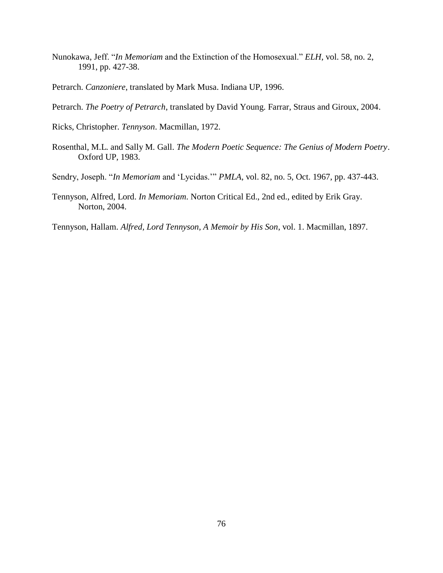- Nunokawa, Jeff. "*In Memoriam* and the Extinction of the Homosexual." *ELH*, vol. 58, no. 2, 1991, pp. 427-38.
- Petrarch. *Canzoniere*, translated by Mark Musa. Indiana UP, 1996.
- Petrarch. *The Poetry of Petrarch*, translated by David Young. Farrar, Straus and Giroux, 2004.
- Ricks, Christopher. *Tennyson*. Macmillan, 1972.
- Rosenthal, M.L. and Sally M. Gall. *The Modern Poetic Sequence: The Genius of Modern Poetry*. Oxford UP, 1983.
- Sendry, Joseph. "*In Memoriam* and 'Lycidas.'" *PMLA*, vol. 82, no. 5, Oct. 1967, pp. 437-443.
- Tennyson, Alfred, Lord. *In Memoriam*. Norton Critical Ed., 2nd ed., edited by Erik Gray. Norton, 2004.
- Tennyson, Hallam. *Alfred, Lord Tennyson, A Memoir by His Son*, vol. 1. Macmillan, 1897.